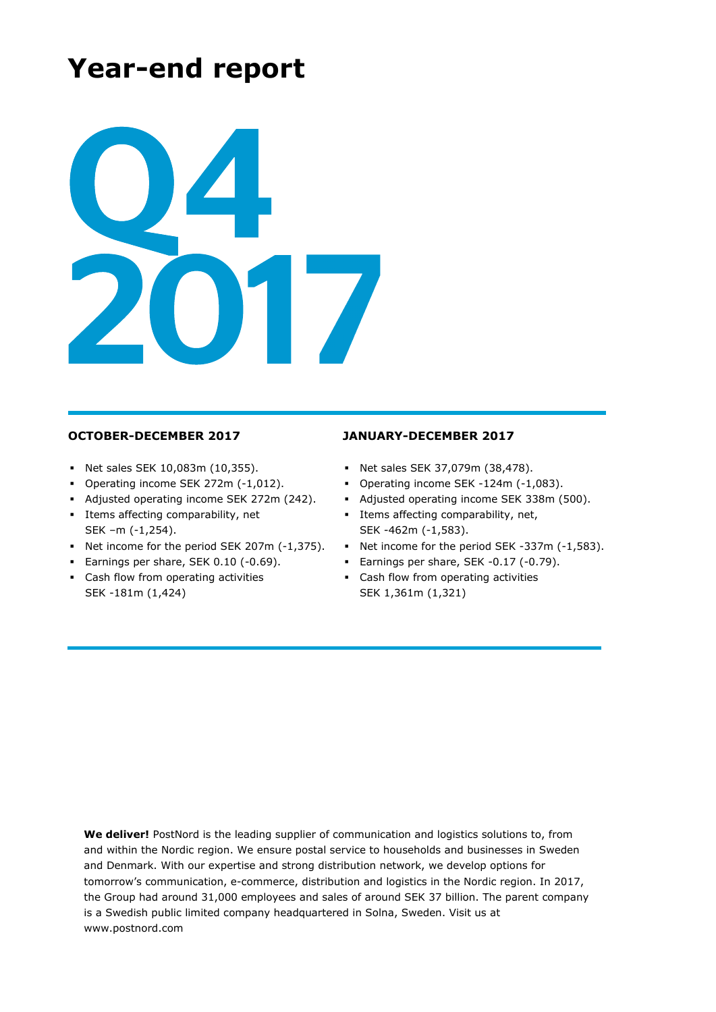# **Year-end report**



- Net sales SEK 10,083m (10,355).
- Operating income SEK 272m (-1,012).
- Adjusted operating income SEK 272m (242).
- Items affecting comparability, net SEK –m (-1,254).
- Net income for the period SEK 207m (-1,375).
- **Earnings per share, SEK 0.10 (-0.69).**
- Cash flow from operating activities SEK -181m (1,424)

### **OCTOBER-DECEMBER 2017 JANUARY-DECEMBER 2017**

- Net sales SEK 37,079m (38,478).
- Operating income SEK -124m (-1,083).
- Adjusted operating income SEK 338m (500).
- Items affecting comparability, net, SEK -462m (-1,583).
- Net income for the period SEK -337m (-1,583).
- Earnings per share, SEK -0.17 (-0.79).
- **EXEC** Cash flow from operating activities SEK 1,361m (1,321)

**We deliver!** PostNord is the leading supplier of communication and logistics solutions to, from and within the Nordic region. We ensure postal service to households and businesses in Sweden and Denmark. With our expertise and strong distribution network, we develop options for tomorrow's communication, e-commerce, distribution and logistics in the Nordic region. In 2017, the Group had around 31,000 employees and sales of around SEK 37 billion. The parent company is a Swedish public limited company headquartered in Solna, Sweden. Visit us at www.postnord.com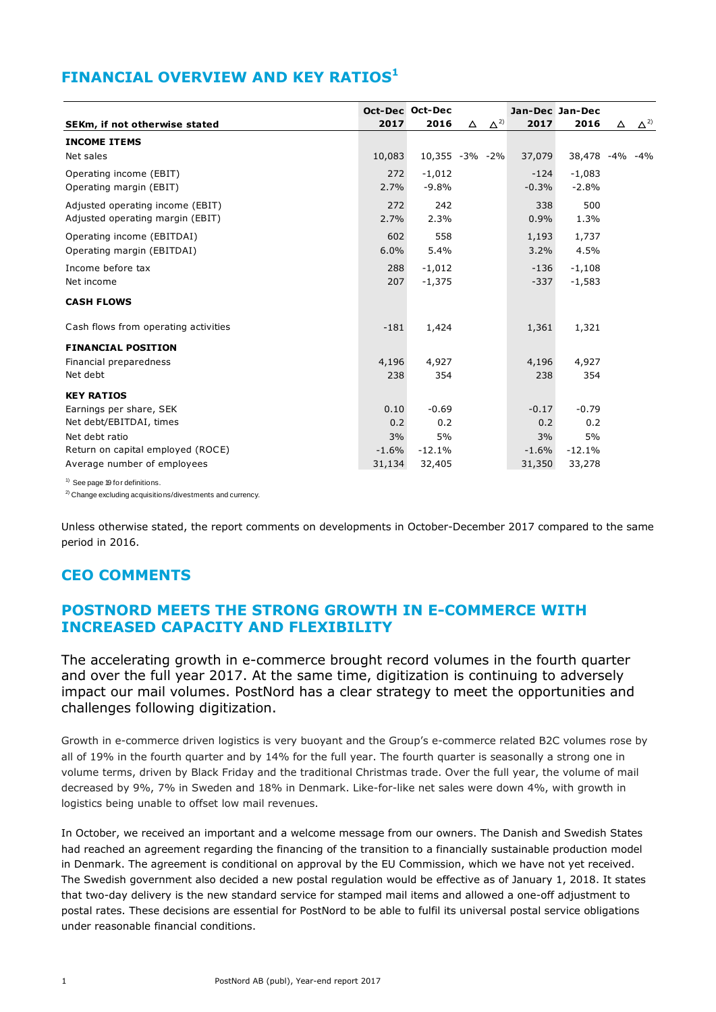## **FINANCIAL OVERVIEW AND KEY RATIOS<sup>1</sup>**

|                                      |         | Oct-Dec Oct-Dec |                           |         | Jan-Dec Jan-Dec |          |              |
|--------------------------------------|---------|-----------------|---------------------------|---------|-----------------|----------|--------------|
| SEKm, if not otherwise stated        | 2017    | 2016            | $\Delta^{2)}$<br>$\Delta$ | 2017    | 2016            | $\Delta$ | $\Delta^{2}$ |
| <b>INCOME ITEMS</b>                  |         |                 |                           |         |                 |          |              |
| Net sales                            | 10,083  |                 | 10,355 -3% -2%            | 37,079  | 38,478 -4% -4%  |          |              |
| Operating income (EBIT)              | 272     | $-1,012$        |                           | $-124$  | $-1,083$        |          |              |
| Operating margin (EBIT)              | 2.7%    | $-9.8%$         |                           | $-0.3%$ | $-2.8%$         |          |              |
| Adjusted operating income (EBIT)     | 272     | 242             |                           | 338     | 500             |          |              |
| Adjusted operating margin (EBIT)     | 2.7%    | 2.3%            |                           | 0.9%    | 1.3%            |          |              |
| Operating income (EBITDAI)           | 602     | 558             |                           | 1,193   | 1,737           |          |              |
| Operating margin (EBITDAI)           | 6.0%    | 5.4%            |                           | 3.2%    | 4.5%            |          |              |
| Income before tax                    | 288     | $-1,012$        |                           | $-136$  | $-1,108$        |          |              |
| Net income                           | 207     | $-1,375$        |                           | $-337$  | $-1,583$        |          |              |
| <b>CASH FLOWS</b>                    |         |                 |                           |         |                 |          |              |
| Cash flows from operating activities | $-181$  | 1,424           |                           | 1,361   | 1,321           |          |              |
| <b>FINANCIAL POSITION</b>            |         |                 |                           |         |                 |          |              |
| Financial preparedness               | 4,196   | 4,927           |                           | 4,196   | 4,927           |          |              |
| Net debt                             | 238     | 354             |                           | 238     | 354             |          |              |
| <b>KEY RATIOS</b>                    |         |                 |                           |         |                 |          |              |
| Earnings per share, SEK              | 0.10    | $-0.69$         |                           | $-0.17$ | $-0.79$         |          |              |
| Net debt/EBITDAI, times              | 0.2     | 0.2             |                           | 0.2     | 0.2             |          |              |
| Net debt ratio                       | 3%      | 5%              |                           | 3%      | 5%              |          |              |
| Return on capital employed (ROCE)    | $-1.6%$ | $-12.1%$        |                           | $-1.6%$ | $-12.1%$        |          |              |
| Average number of employees          | 31,134  | 32,405          |                           | 31,350  | 33,278          |          |              |

<sup>&</sup>lt;sup>1)</sup> See page 19 for definitions.

<sup>2)</sup> Change excluding acquisitions/divestments and currency.

Unless otherwise stated, the report comments on developments in October-December 2017 compared to the same period in 2016.

### **CEO COMMENTS**

### **POSTNORD MEETS THE STRONG GROWTH IN E-COMMERCE WITH INCREASED CAPACITY AND FLEXIBILITY**

The accelerating growth in e-commerce brought record volumes in the fourth quarter and over the full year 2017. At the same time, digitization is continuing to adversely impact our mail volumes. PostNord has a clear strategy to meet the opportunities and challenges following digitization.

Growth in e-commerce driven logistics is very buoyant and the Group's e-commerce related B2C volumes rose by all of 19% in the fourth quarter and by 14% for the full year. The fourth quarter is seasonally a strong one in volume terms, driven by Black Friday and the traditional Christmas trade. Over the full year, the volume of mail decreased by 9%, 7% in Sweden and 18% in Denmark. Like-for-like net sales were down 4%, with growth in logistics being unable to offset low mail revenues.

In October, we received an important and a welcome message from our owners. The Danish and Swedish States had reached an agreement regarding the financing of the transition to a financially sustainable production model in Denmark. The agreement is conditional on approval by the EU Commission, which we have not yet received. The Swedish government also decided a new postal regulation would be effective as of January 1, 2018. It states that two-day delivery is the new standard service for stamped mail items and allowed a one-off adjustment to postal rates. These decisions are essential for PostNord to be able to fulfil its universal postal service obligations under reasonable financial conditions.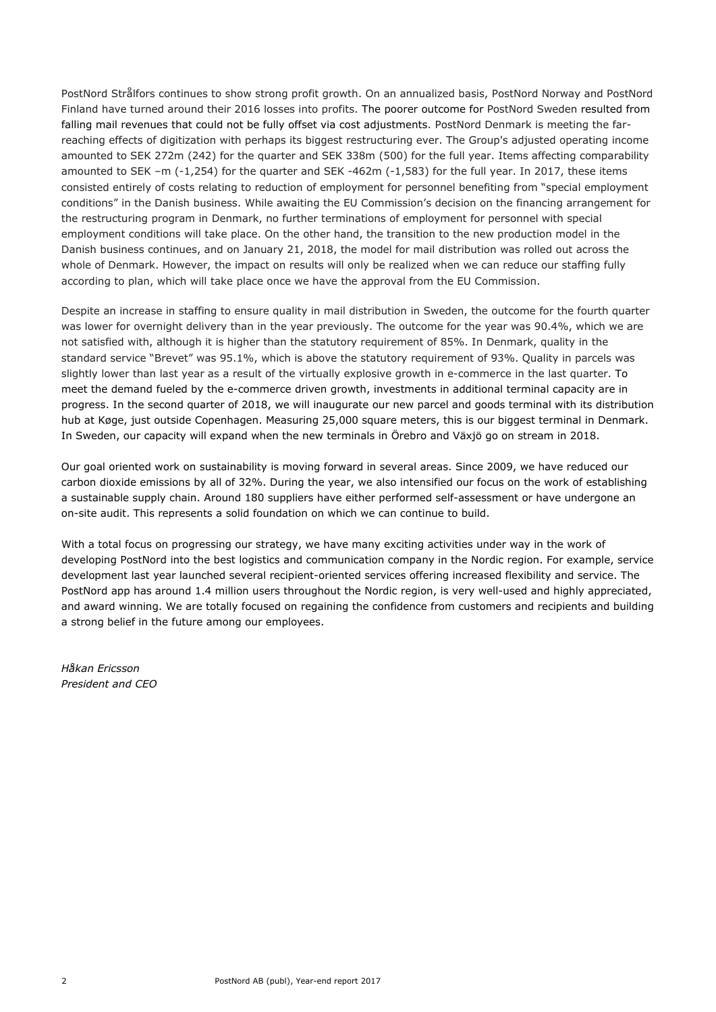PostNord Strålfors continues to show strong profit growth. On an annualized basis, PostNord Norway and PostNord Finland have turned around their 2016 losses into profits. The poorer outcome for PostNord Sweden resulted from falling mail revenues that could not be fully offset via cost adjustments. PostNord Denmark is meeting the farreaching effects of digitization with perhaps its biggest restructuring ever. The Group's adjusted operating income amounted to SEK 272m (242) for the quarter and SEK 338m (500) for the full year. Items affecting comparability amounted to SEK –m (-1,254) for the quarter and SEK -462m (-1,583) for the full year. In 2017, these items consisted entirely of costs relating to reduction of employment for personnel benefiting from "special employment conditions" in the Danish business. While awaiting the EU Commission's decision on the financing arrangement for the restructuring program in Denmark, no further terminations of employment for personnel with special employment conditions will take place. On the other hand, the transition to the new production model in the Danish business continues, and on January 21, 2018, the model for mail distribution was rolled out across the whole of Denmark. However, the impact on results will only be realized when we can reduce our staffing fully according to plan, which will take place once we have the approval from the EU Commission.

Despite an increase in staffing to ensure quality in mail distribution in Sweden, the outcome for the fourth quarter was lower for overnight delivery than in the year previously. The outcome for the year was 90.4%, which we are not satisfied with, although it is higher than the statutory requirement of 85%. In Denmark, quality in the standard service "Brevet" was 95.1%, which is above the statutory requirement of 93%. Quality in parcels was slightly lower than last year as a result of the virtually explosive growth in e-commerce in the last quarter. To meet the demand fueled by the e-commerce driven growth, investments in additional terminal capacity are in progress. In the second quarter of 2018, we will inaugurate our new parcel and goods terminal with its distribution hub at Køge, just outside Copenhagen. Measuring 25,000 square meters, this is our biggest terminal in Denmark. In Sweden, our capacity will expand when the new terminals in Örebro and Växjö go on stream in 2018.

Our goal oriented work on sustainability is moving forward in several areas. Since 2009, we have reduced our carbon dioxide emissions by all of 32%. During the year, we also intensified our focus on the work of establishing a sustainable supply chain. Around 180 suppliers have either performed self-assessment or have undergone an on-site audit. This represents a solid foundation on which we can continue to build.

With a total focus on progressing our strategy, we have many exciting activities under way in the work of developing PostNord into the best logistics and communication company in the Nordic region. For example, service development last year launched several recipient-oriented services offering increased flexibility and service. The PostNord app has around 1.4 million users throughout the Nordic region, is very well-used and highly appreciated, and award winning. We are totally focused on regaining the confidence from customers and recipients and building a strong belief in the future among our employees.

*Håkan Ericsson President and CEO*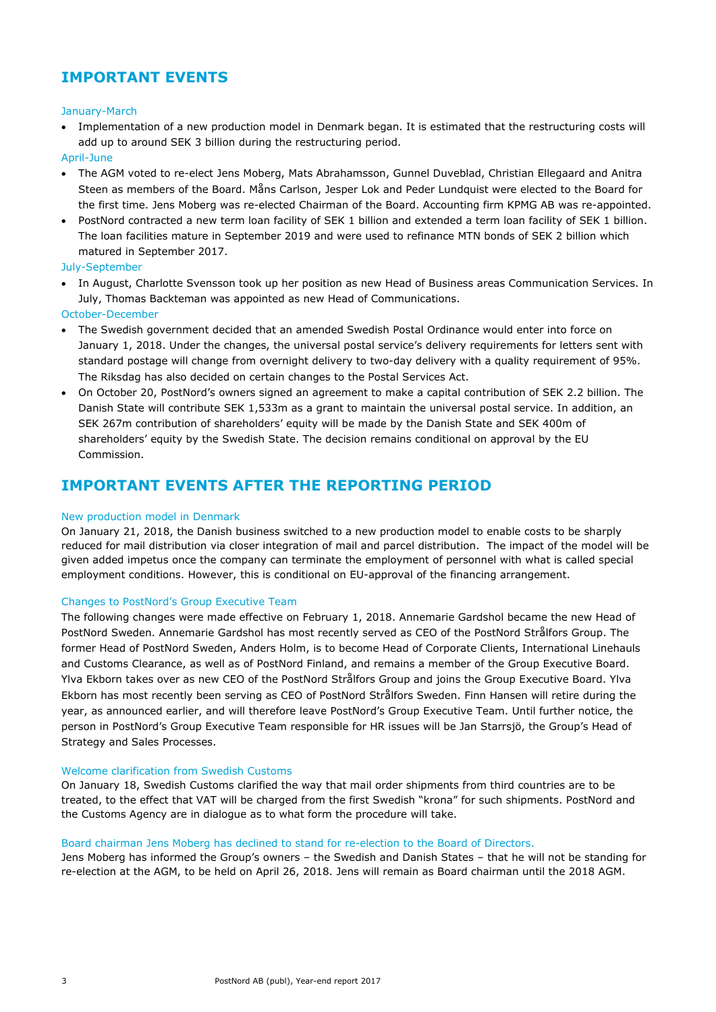### **IMPORTANT EVENTS**

#### January-March

 Implementation of a new production model in Denmark began. It is estimated that the restructuring costs will add up to around SEK 3 billion during the restructuring period.

#### April-June

- The AGM voted to re-elect Jens Moberg, Mats Abrahamsson, Gunnel Duveblad, Christian Ellegaard and Anitra Steen as members of the Board. Måns Carlson, Jesper Lok and Peder Lundquist were elected to the Board for the first time. Jens Moberg was re-elected Chairman of the Board. Accounting firm KPMG AB was re-appointed.
- PostNord contracted a new term loan facility of SEK 1 billion and extended a term loan facility of SEK 1 billion. The loan facilities mature in September 2019 and were used to refinance MTN bonds of SEK 2 billion which matured in September 2017.

#### July-September

• In August, Charlotte Svensson took up her position as new Head of Business areas Communication Services. In July, Thomas Backteman was appointed as new Head of Communications.

#### October-December

- The Swedish government decided that an amended Swedish Postal Ordinance would enter into force on January 1, 2018. Under the changes, the universal postal service's delivery requirements for letters sent with standard postage will change from overnight delivery to two-day delivery with a quality requirement of 95%. The Riksdag has also decided on certain changes to the Postal Services Act.
- On October 20, PostNord's owners signed an agreement to make a capital contribution of SEK 2.2 billion. The Danish State will contribute SEK 1,533m as a grant to maintain the universal postal service. In addition, an SEK 267m contribution of shareholders' equity will be made by the Danish State and SEK 400m of shareholders' equity by the Swedish State. The decision remains conditional on approval by the EU Commission.

### **IMPORTANT EVENTS AFTER THE REPORTING PERIOD**

#### New production model in Denmark

On January 21, 2018, the Danish business switched to a new production model to enable costs to be sharply reduced for mail distribution via closer integration of mail and parcel distribution. The impact of the model will be given added impetus once the company can terminate the employment of personnel with what is called special employment conditions. However, this is conditional on EU-approval of the financing arrangement.

#### Changes to PostNord's Group Executive Team

The following changes were made effective on February 1, 2018. Annemarie Gardshol became the new Head of PostNord Sweden. Annemarie Gardshol has most recently served as CEO of the PostNord Strålfors Group. The former Head of PostNord Sweden, Anders Holm, is to become Head of Corporate Clients, International Linehauls and Customs Clearance, as well as of PostNord Finland, and remains a member of the Group Executive Board. Ylva Ekborn takes over as new CEO of the PostNord Strålfors Group and joins the Group Executive Board. Ylva Ekborn has most recently been serving as CEO of PostNord Strålfors Sweden. Finn Hansen will retire during the year, as announced earlier, and will therefore leave PostNord's Group Executive Team. Until further notice, the person in PostNord's Group Executive Team responsible for HR issues will be Jan Starrsjö, the Group's Head of Strategy and Sales Processes.

#### Welcome clarification from Swedish Customs

On January 18, Swedish Customs clarified the way that mail order shipments from third countries are to be treated, to the effect that VAT will be charged from the first Swedish "krona" for such shipments. PostNord and the Customs Agency are in dialogue as to what form the procedure will take.

#### Board chairman Jens Moberg has declined to stand for re-election to the Board of Directors.

Jens Moberg has informed the Group's owners – the Swedish and Danish States – that he will not be standing for re-election at the AGM, to be held on April 26, 2018. Jens will remain as Board chairman until the 2018 AGM.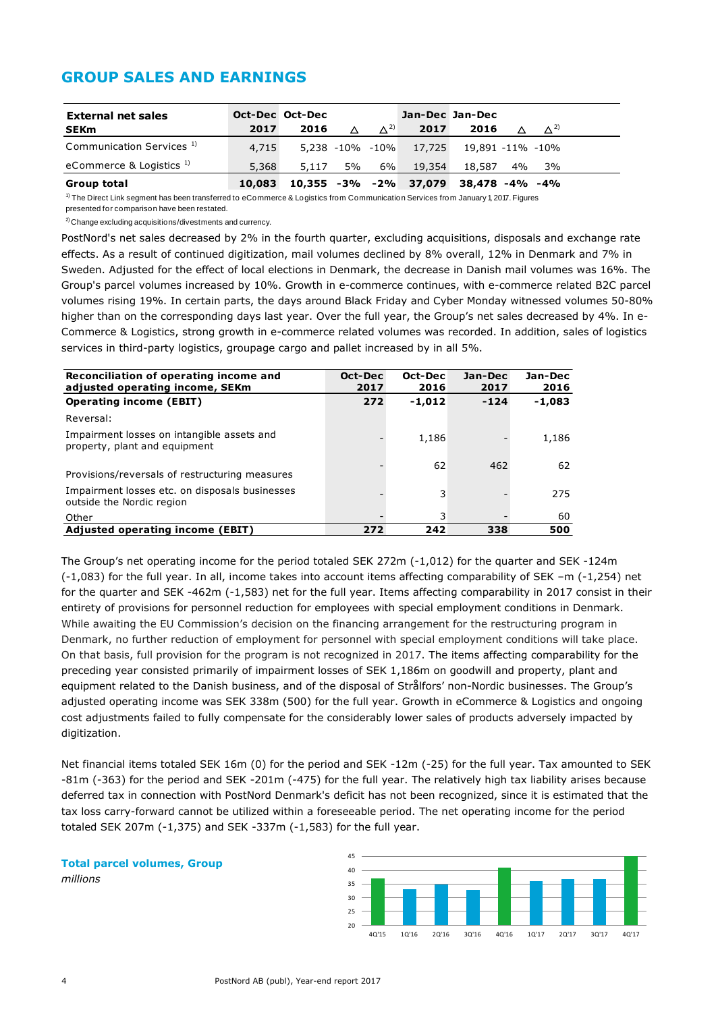### **GROUP SALES AND EARNINGS**

| <b>External net sales</b>            |        | Oct-Dec Oct-Dec |           |               |                                         | Jan-Dec Jan-Dec |          |                         |  |
|--------------------------------------|--------|-----------------|-----------|---------------|-----------------------------------------|-----------------|----------|-------------------------|--|
| <b>SEKm</b>                          | 2017   | 2016            | $\Lambda$ | $\Lambda^{2}$ | 2017                                    | 2016            | $\Delta$ | $\Lambda$ <sup>2)</sup> |  |
| Communication Services <sup>1)</sup> | 4,715  |                 |           |               | 5,238 -10% -10% 17,725 19,891 -11% -10% |                 |          |                         |  |
| eCommerce & Logistics $1$            | 5,368  | 5,117 5% 6%     |           |               | 19,354                                  | 18.587 4%       |          | 3%                      |  |
| Group total                          | 10,083 |                 |           |               | 10,355 -3% -2% 37,079 38,478 -4% -4%    |                 |          |                         |  |

 $1)$  The Direct Link segment has been transferred to eCommerce & Logistics from Communication Services from January 1, 2017. Figures presented for comparison have been restated.

2) Change excluding acquisitions/divestments and currency.

PostNord's net sales decreased by 2% in the fourth quarter, excluding acquisitions, disposals and exchange rate effects. As a result of continued digitization, mail volumes declined by 8% overall, 12% in Denmark and 7% in Sweden. Adjusted for the effect of local elections in Denmark, the decrease in Danish mail volumes was 16%. The Group's parcel volumes increased by 10%. Growth in e-commerce continues, with e-commerce related B2C parcel volumes rising 19%. In certain parts, the days around Black Friday and Cyber Monday witnessed volumes 50-80% higher than on the corresponding days last year. Over the full year, the Group's net sales decreased by 4%. In e-Commerce & Logistics, strong growth in e-commerce related volumes was recorded. In addition, sales of logistics services in third-party logistics, groupage cargo and pallet increased by in all 5%.

| Reconciliation of operating income and<br>adjusted operating income, SEKm   | Oct-Dec<br>2017 | Oct-Dec<br>2016 | Jan-Dec<br>2017 | Jan-Dec<br>2016 |
|-----------------------------------------------------------------------------|-----------------|-----------------|-----------------|-----------------|
| <b>Operating income (EBIT)</b>                                              | 272             | $-1.012$        | $-124$          | $-1,083$        |
| Reversal:                                                                   |                 |                 |                 |                 |
| Impairment losses on intangible assets and<br>property, plant and equipment |                 | 1,186           |                 | 1,186           |
| Provisions/reversals of restructuring measures                              |                 | 62              | 462             | 62              |
| Impairment losses etc. on disposals businesses<br>outside the Nordic region |                 | 3               |                 | 275             |
| Other                                                                       |                 | 3               |                 | 60              |
| Adjusted operating income (EBIT)                                            | 272             | 242             | 338             | 500             |

The Group's net operating income for the period totaled SEK 272m (-1,012) for the quarter and SEK -124m (-1,083) for the full year. In all, income takes into account items affecting comparability of SEK –m (-1,254) net for the quarter and SEK -462m (-1,583) net for the full year. Items affecting comparability in 2017 consist in their entirety of provisions for personnel reduction for employees with special employment conditions in Denmark. While awaiting the EU Commission's decision on the financing arrangement for the restructuring program in Denmark, no further reduction of employment for personnel with special employment conditions will take place. On that basis, full provision for the program is not recognized in 2017. The items affecting comparability for the preceding year consisted primarily of impairment losses of SEK 1,186m on goodwill and property, plant and equipment related to the Danish business, and of the disposal of Strålfors' non-Nordic businesses. The Group's adjusted operating income was SEK 338m (500) for the full year. Growth in eCommerce & Logistics and ongoing cost adjustments failed to fully compensate for the considerably lower sales of products adversely impacted by digitization.

Net financial items totaled SEK 16m (0) for the period and SEK -12m (-25) for the full year. Tax amounted to SEK -81m (-363) for the period and SEK -201m (-475) for the full year. The relatively high tax liability arises because deferred tax in connection with PostNord Denmark's deficit has not been recognized, since it is estimated that the tax loss carry-forward cannot be utilized within a foreseeable period. The net operating income for the period totaled SEK 207m (-1,375) and SEK -337m (-1,583) for the full year.

**Total parcel volumes, Group** *millions*

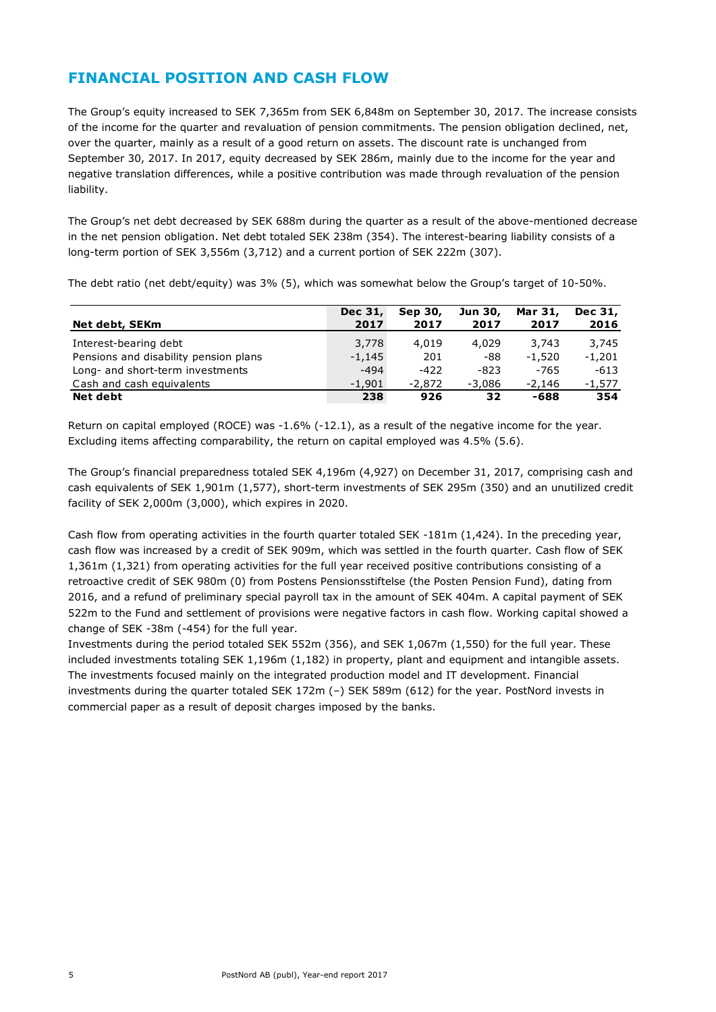### **FINANCIAL POSITION AND CASH FLOW**

The Group's equity increased to SEK 7,365m from SEK 6,848m on September 30, 2017. The increase consists of the income for the quarter and revaluation of pension commitments. The pension obligation declined, net, over the quarter, mainly as a result of a good return on assets. The discount rate is unchanged from September 30, 2017. In 2017, equity decreased by SEK 286m, mainly due to the income for the year and negative translation differences, while a positive contribution was made through revaluation of the pension liability.

The Group's net debt decreased by SEK 688m during the quarter as a result of the above-mentioned decrease in the net pension obligation. Net debt totaled SEK 238m (354). The interest-bearing liability consists of a long-term portion of SEK 3,556m (3,712) and a current portion of SEK 222m (307).

The debt ratio (net debt/equity) was 3% (5), which was somewhat below the Group's target of 10-50%.

|                                       | Dec 31,  | Sep 30,  | Jun 30,  | Mar 31,  | Dec 31,  |
|---------------------------------------|----------|----------|----------|----------|----------|
| Net debt, SEKm                        | 2017     | 2017     | 2017     | 2017     | 2016     |
| Interest-bearing debt                 | 3,778    | 4.019    | 4,029    | 3,743    | 3,745    |
| Pensions and disability pension plans | $-1,145$ | 201      | -88      | $-1.520$ | $-1,201$ |
| Long- and short-term investments      | $-494$   | $-422$   | $-823$   | -765     | $-613$   |
| Cash and cash equivalents             | $-1.901$ | $-2.872$ | $-3.086$ | -2,146   | $-1,577$ |
| <b>Net debt</b>                       | 238      | 926      | 32       | -688     | 354      |

Return on capital employed (ROCE) was -1.6% (-12.1), as a result of the negative income for the year. Excluding items affecting comparability, the return on capital employed was 4.5% (5.6).

The Group's financial preparedness totaled SEK 4,196m (4,927) on December 31, 2017, comprising cash and cash equivalents of SEK 1,901m (1,577), short-term investments of SEK 295m (350) and an unutilized credit facility of SEK 2,000m (3,000), which expires in 2020.

Cash flow from operating activities in the fourth quarter totaled SEK -181m (1,424). In the preceding year, cash flow was increased by a credit of SEK 909m, which was settled in the fourth quarter. Cash flow of SEK 1,361m (1,321) from operating activities for the full year received positive contributions consisting of a retroactive credit of SEK 980m (0) from Postens Pensionsstiftelse (the Posten Pension Fund), dating from 2016, and a refund of preliminary special payroll tax in the amount of SEK 404m. A capital payment of SEK 522m to the Fund and settlement of provisions were negative factors in cash flow. Working capital showed a change of SEK -38m (-454) for the full year.

Investments during the period totaled SEK 552m (356), and SEK 1,067m (1,550) for the full year. These included investments totaling SEK 1,196m (1,182) in property, plant and equipment and intangible assets. The investments focused mainly on the integrated production model and IT development. Financial investments during the quarter totaled SEK 172m (–) SEK 589m (612) for the year. PostNord invests in commercial paper as a result of deposit charges imposed by the banks.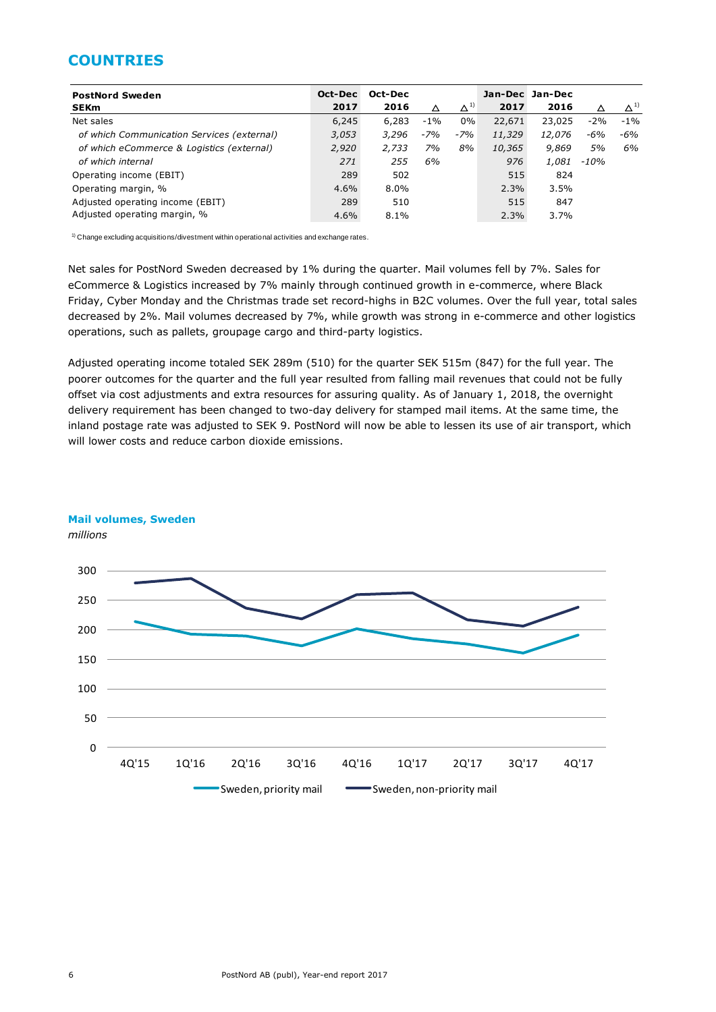### **COUNTRIES**

| <b>PostNord Sweden</b>                     | Oct-Dec | Oct-Dec |       |               |        | Jan-Dec Jan-Dec |        |               |
|--------------------------------------------|---------|---------|-------|---------------|--------|-----------------|--------|---------------|
| <b>SEKm</b>                                | 2017    | 2016    | Δ     | $\Delta^{1)}$ | 2017   | 2016            |        | $\Delta^{1)}$ |
| Net sales                                  | 6,245   | 6,283   | $-1%$ | 0%            | 22,671 | 23,025          | $-2%$  | $-1\%$        |
| of which Communication Services (external) | 3,053   | 3,296   | $-7%$ | $-7%$         | 11,329 | 12,076          | $-6%$  | $-6%$         |
| of which eCommerce & Logistics (external)  | 2,920   | 2.733   | 7%    | 8%            | 10,365 | 9,869           | 5%     | 6%            |
| of which internal                          | 271     | 255     | 6%    |               | 976    | 1,081           | $-10%$ |               |
| Operating income (EBIT)                    | 289     | 502     |       |               | 515    | 824             |        |               |
| Operating margin, %                        | 4.6%    | $8.0\%$ |       |               | 2.3%   | 3.5%            |        |               |
| Adjusted operating income (EBIT)           | 289     | 510     |       |               | 515    | 847             |        |               |
| Adjusted operating margin, %               | 4.6%    | $8.1\%$ |       |               | 2.3%   | 3.7%            |        |               |

 $1)$  Change excluding acquisitions/divestment within operational activities and exchange rates.

Net sales for PostNord Sweden decreased by 1% during the quarter. Mail volumes fell by 7%. Sales for eCommerce & Logistics increased by 7% mainly through continued growth in e-commerce, where Black Friday, Cyber Monday and the Christmas trade set record-highs in B2C volumes. Over the full year, total sales decreased by 2%. Mail volumes decreased by 7%, while growth was strong in e-commerce and other logistics operations, such as pallets, groupage cargo and third-party logistics.

Adjusted operating income totaled SEK 289m (510) for the quarter SEK 515m (847) for the full year. The poorer outcomes for the quarter and the full year resulted from falling mail revenues that could not be fully offset via cost adjustments and extra resources for assuring quality. As of January 1, 2018, the overnight delivery requirement has been changed to two-day delivery for stamped mail items. At the same time, the inland postage rate was adjusted to SEK 9. PostNord will now be able to lessen its use of air transport, which will lower costs and reduce carbon dioxide emissions.



#### **Mail volumes, Sweden**

*millions*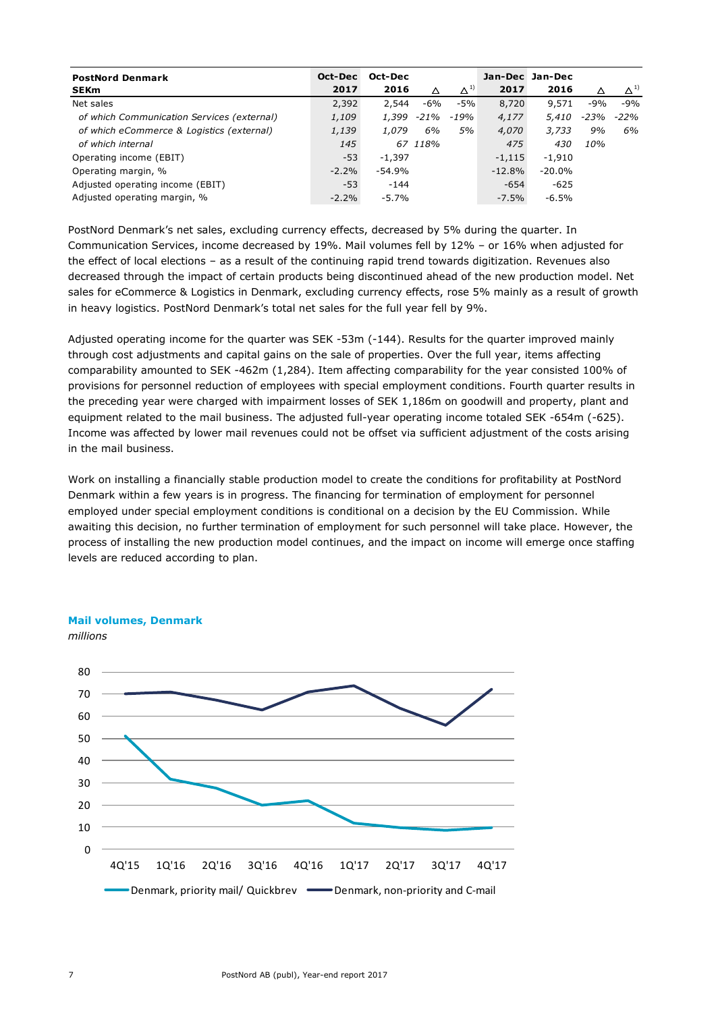| <b>PostNord Denmark</b><br><b>SEKm</b>     | Oct-Dec<br>2017 | Oct-Dec<br>2016 | Δ       | $\Delta^{1}$ | 2017      | Jan-Dec Jan-Dec<br>2016 |      | $\Delta^{1)}$ |
|--------------------------------------------|-----------------|-----------------|---------|--------------|-----------|-------------------------|------|---------------|
| Net sales                                  | 2,392           | 2,544           | -6%     | $-5%$        | 8,720     | 9,571                   | -9%  | $-9%$         |
| of which Communication Services (external) | 1,109           | 1,399           | -21%    | -19%         | 4,177     | 5,410                   | -23% | -22%          |
| of which eCommerce & Logistics (external)  | 1,139           | 1,079           | 6%      | 5%           | 4,070     | 3,733                   | 9%   | 6%            |
| of which internal                          | 145             |                 | 67 118% |              | 475       | 430                     | 10%  |               |
| Operating income (EBIT)                    | $-53$           | $-1.397$        |         |              | $-1,115$  | $-1.910$                |      |               |
| Operating margin, %                        | $-2.2%$         | $-54.9%$        |         |              | $-12.8\%$ | $-20.0\%$               |      |               |
| Adjusted operating income (EBIT)           | $-53$           | $-144$          |         |              | $-654$    | $-625$                  |      |               |
| Adjusted operating margin, %               | $-2.2%$         | $-5.7%$         |         |              | $-7.5%$   | $-6.5%$                 |      |               |

PostNord Denmark's net sales, excluding currency effects, decreased by 5% during the quarter. In Communication Services, income decreased by 19%. Mail volumes fell by 12% – or 16% when adjusted for the effect of local elections – as a result of the continuing rapid trend towards digitization. Revenues also decreased through the impact of certain products being discontinued ahead of the new production model. Net sales for eCommerce & Logistics in Denmark, excluding currency effects, rose 5% mainly as a result of growth in heavy logistics. PostNord Denmark's total net sales for the full year fell by 9%.

Adjusted operating income for the quarter was SEK -53m (-144). Results for the quarter improved mainly through cost adjustments and capital gains on the sale of properties. Over the full year, items affecting comparability amounted to SEK -462m (1,284). Item affecting comparability for the year consisted 100% of provisions for personnel reduction of employees with special employment conditions. Fourth quarter results in the preceding year were charged with impairment losses of SEK 1,186m on goodwill and property, plant and equipment related to the mail business. The adjusted full-year operating income totaled SEK -654m (-625). Income was affected by lower mail revenues could not be offset via sufficient adjustment of the costs arising in the mail business.

Work on installing a financially stable production model to create the conditions for profitability at PostNord Denmark within a few years is in progress. The financing for termination of employment for personnel employed under special employment conditions is conditional on a decision by the EU Commission. While awaiting this decision, no further termination of employment for such personnel will take place. However, the process of installing the new production model continues, and the impact on income will emerge once staffing levels are reduced according to plan.



#### **Mail volumes, Denmark**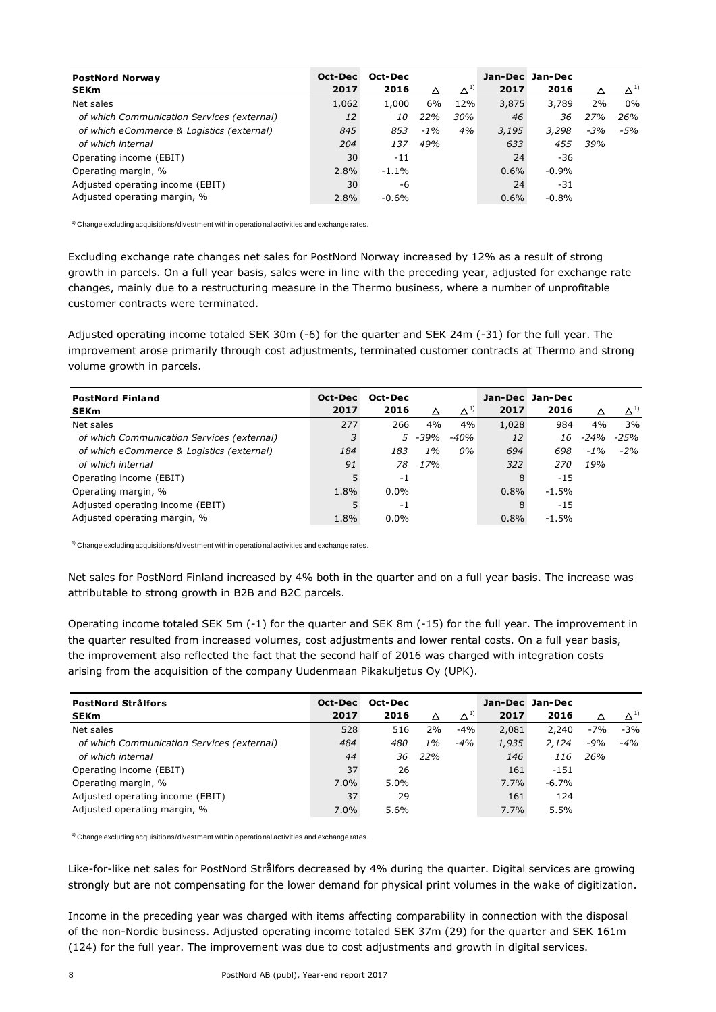| <b>PostNord Norway</b>                     | Oct-Dec | Oct-Dec   |        |               |       | Jan-Dec Jan-Dec |       |              |
|--------------------------------------------|---------|-----------|--------|---------------|-------|-----------------|-------|--------------|
| <b>SEKm</b>                                | 2017    | 2016      | Δ      | $\Delta^{1)}$ | 2017  | 2016            | Δ     | $\Delta^{1}$ |
| Net sales                                  | 1,062   | 1,000     | 6%     | 12%           | 3,875 | 3,789           | 2%    | 0%           |
| of which Communication Services (external) | 12      | <i>10</i> | 22%    | 30%           | 46    | 36              | 27%   | 26%          |
| of which eCommerce & Logistics (external)  | 845     | 853       | $-1\%$ | 4%            | 3,195 | 3,298           | $-3%$ | $-5%$        |
| of which internal                          | 204     | 137       | 49%    |               | 633   | 455             | 39%   |              |
| Operating income (EBIT)                    | 30      | $-11$     |        |               | 24    | -36             |       |              |
| Operating margin, %                        | 2.8%    | $-1.1\%$  |        |               | 0.6%  | $-0.9\%$        |       |              |
| Adjusted operating income (EBIT)           | 30      | -6        |        |               | 24    | $-31$           |       |              |
| Adjusted operating margin, %               | 2.8%    | $-0.6%$   |        |               | 0.6%  | $-0.8%$         |       |              |

 $1)$  Change excluding acquisitions/divestment within operational activities and exchange rates.

Excluding exchange rate changes net sales for PostNord Norway increased by 12% as a result of strong growth in parcels. On a full year basis, sales were in line with the preceding year, adjusted for exchange rate changes, mainly due to a restructuring measure in the Thermo business, where a number of unprofitable customer contracts were terminated.

Adjusted operating income totaled SEK 30m (-6) for the quarter and SEK 24m (-31) for the full year. The improvement arose primarily through cost adjustments, terminated customer contracts at Thermo and strong volume growth in parcels.

| <b>PostNord Finland</b>                    | Oct-Dec | Oct-Dec |            |               |       | Jan-Dec Jan-Dec |        |               |
|--------------------------------------------|---------|---------|------------|---------------|-------|-----------------|--------|---------------|
| <b>SEKm</b>                                | 2017    | 2016    | Λ          | $\Delta^{1)}$ | 2017  | 2016            |        | $\Delta^{1)}$ |
| Net sales                                  | 277     | 266     | 4%         | 4%            | 1,028 | 984             | 4%     | 3%            |
| of which Communication Services (external) | 3       |         | $5 - 39\%$ | -40%          | 12    | 16              | $-24%$ | -25%          |
| of which eCommerce & Logistics (external)  | 184     | 183     | 1%         | 0%            | 694   | 698             | $-1\%$ | $-2%$         |
| of which internal                          | 91      | 78      | 17%        |               | 322   | 270             | 19%    |               |
| Operating income (EBIT)                    |         | -1      |            |               | 8     | $-15$           |        |               |
| Operating margin, %                        | 1.8%    | $0.0\%$ |            |               | 0.8%  | $-1.5%$         |        |               |
| Adjusted operating income (EBIT)           |         | -1      |            |               | 8     | $-15$           |        |               |
| Adjusted operating margin, %               | 1.8%    | $0.0\%$ |            |               | 0.8%  | $-1.5%$         |        |               |

 $1)$  Change excluding acquisitions/divestment within operational activities and exchange rates.

Net sales for PostNord Finland increased by 4% both in the quarter and on a full year basis. The increase was attributable to strong growth in B2B and B2C parcels.

Operating income totaled SEK 5m (-1) for the quarter and SEK 8m (-15) for the full year. The improvement in the quarter resulted from increased volumes, cost adjustments and lower rental costs. On a full year basis, the improvement also reflected the fact that the second half of 2016 was charged with integration costs arising from the acquisition of the company Uudenmaan Pikakuljetus Oy (UPK).

| <b>PostNord Strålfors</b>                  | Oct-Dec | Oct-Dec |       |              |       | Jan-Dec Jan-Dec |       |               |
|--------------------------------------------|---------|---------|-------|--------------|-------|-----------------|-------|---------------|
| <b>SEKm</b>                                | 2017    | 2016    | Δ     | $\Delta^{1}$ | 2017  | 2016            |       | $\Delta^{1)}$ |
| Net sales                                  | 528     | 516     | 2%    | $-4%$        | 2,081 | 2,240           | $-7%$ | $-3%$         |
| of which Communication Services (external) | 484     | 480     | $1\%$ | $-4%$        | 1,935 | 2,124           | $-9%$ | $-4%$         |
| of which internal                          | 44      | 36      | 22%   |              | 146   | 116             | 26%   |               |
| Operating income (EBIT)                    | 37      | 26      |       |              | 161   | $-151$          |       |               |
| Operating margin, %                        | 7.0%    | $5.0\%$ |       |              | 7.7%  | $-6.7%$         |       |               |
| Adjusted operating income (EBIT)           | 37      | 29      |       |              | 161   | 124             |       |               |
| Adjusted operating margin, %               | 7.0%    | 5.6%    |       |              | 7.7%  | 5.5%            |       |               |

 $1)$  Change excluding acquisitions/divestment within operational activities and exchange rates.

Like-for-like net sales for PostNord Strålfors decreased by 4% during the quarter. Digital services are growing strongly but are not compensating for the lower demand for physical print volumes in the wake of digitization.

Income in the preceding year was charged with items affecting comparability in connection with the disposal of the non-Nordic business. Adjusted operating income totaled SEK 37m (29) for the quarter and SEK 161m (124) for the full year. The improvement was due to cost adjustments and growth in digital services.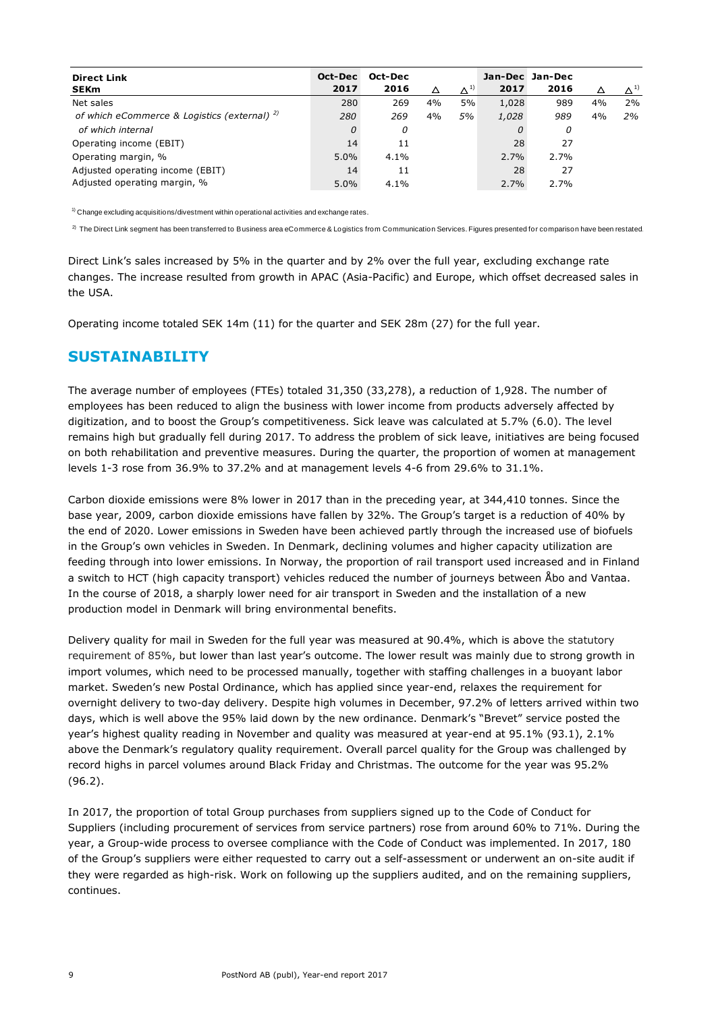| <b>Direct Link</b><br><b>SEKm</b>            | Oct-Dec<br>2017 | Oct-Dec<br>2016 | Δ  | $\Delta^{1)}$ | 2017  | Jan-Dec Jan-Dec<br>2016 |    | $\Lambda$ <sup>1)</sup> |
|----------------------------------------------|-----------------|-----------------|----|---------------|-------|-------------------------|----|-------------------------|
| Net sales                                    | 280             | 269             | 4% | 5%            | 1,028 | 989                     | 4% | 2%                      |
| of which eCommerce & Logistics (external) 2) | 280             | 269             | 4% | 5%            | 1,028 | 989                     | 4% | 2%                      |
| of which internal                            | 0               | 0               |    |               | 0     | 0                       |    |                         |
| Operating income (EBIT)                      | 14              | 11              |    |               | 28    | 27                      |    |                         |
| Operating margin, %                          | $5.0\%$         | $4.1\%$         |    |               | 2.7%  | 2.7%                    |    |                         |
| Adjusted operating income (EBIT)             | 14              | 11              |    |               | 28    | 27                      |    |                         |
| Adjusted operating margin, %                 | $5.0\%$         | $4.1\%$         |    |               | 2.7%  | 2.7%                    |    |                         |

 $1)$  Change excluding acquisitions/divestment within operational activities and exchange rates.

 $^{2)}$  The Direct Link segment has been transferred to Business area eCommerce & Logistics from Communication Services. Figures presented for comparison have been restated.

Direct Link's sales increased by 5% in the quarter and by 2% over the full year, excluding exchange rate changes. The increase resulted from growth in APAC (Asia-Pacific) and Europe, which offset decreased sales in the USA.

Operating income totaled SEK 14m (11) for the quarter and SEK 28m (27) for the full year.

### **SUSTAINABILITY**

The average number of employees (FTEs) totaled 31,350 (33,278), a reduction of 1,928. The number of employees has been reduced to align the business with lower income from products adversely affected by digitization, and to boost the Group's competitiveness. Sick leave was calculated at 5.7% (6.0). The level remains high but gradually fell during 2017. To address the problem of sick leave, initiatives are being focused on both rehabilitation and preventive measures. During the quarter, the proportion of women at management levels 1-3 rose from 36.9% to 37.2% and at management levels 4-6 from 29.6% to 31.1%.

Carbon dioxide emissions were 8% lower in 2017 than in the preceding year, at 344,410 tonnes. Since the base year, 2009, carbon dioxide emissions have fallen by 32%. The Group's target is a reduction of 40% by the end of 2020. Lower emissions in Sweden have been achieved partly through the increased use of biofuels in the Group's own vehicles in Sweden. In Denmark, declining volumes and higher capacity utilization are feeding through into lower emissions. In Norway, the proportion of rail transport used increased and in Finland a switch to HCT (high capacity transport) vehicles reduced the number of journeys between Åbo and Vantaa. In the course of 2018, a sharply lower need for air transport in Sweden and the installation of a new production model in Denmark will bring environmental benefits.

Delivery quality for mail in Sweden for the full year was measured at 90.4%, which is above the statutory requirement of 85%, but lower than last year's outcome. The lower result was mainly due to strong growth in import volumes, which need to be processed manually, together with staffing challenges in a buoyant labor market. Sweden's new Postal Ordinance, which has applied since year-end, relaxes the requirement for overnight delivery to two-day delivery. Despite high volumes in December, 97.2% of letters arrived within two days, which is well above the 95% laid down by the new ordinance. Denmark's "Brevet" service posted the year's highest quality reading in November and quality was measured at year-end at 95.1% (93.1), 2.1% above the Denmark's regulatory quality requirement. Overall parcel quality for the Group was challenged by record highs in parcel volumes around Black Friday and Christmas. The outcome for the year was 95.2% (96.2).

In 2017, the proportion of total Group purchases from suppliers signed up to the Code of Conduct for Suppliers (including procurement of services from service partners) rose from around 60% to 71%. During the year, a Group-wide process to oversee compliance with the Code of Conduct was implemented. In 2017, 180 of the Group's suppliers were either requested to carry out a self-assessment or underwent an on-site audit if they were regarded as high-risk. Work on following up the suppliers audited, and on the remaining suppliers, continues.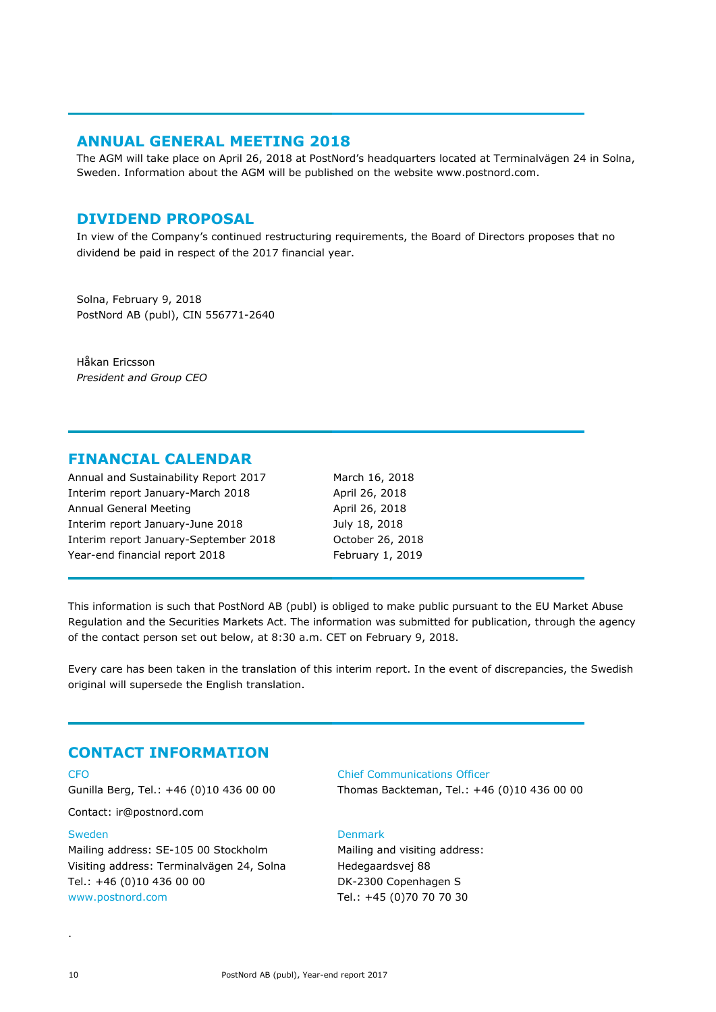### **ANNUAL GENERAL MEETING 2018**

The AGM will take place on April 26, 2018 at PostNord's headquarters located at Terminalvägen 24 in Solna, Sweden. Information about the AGM will be published on the website www.postnord.com.

### **DIVIDEND PROPOSAL**

In view of the Company's continued restructuring requirements, the Board of Directors proposes that no dividend be paid in respect of the 2017 financial year.

Solna, February 9, 2018 PostNord AB (publ), CIN 556771-2640

Håkan Ericsson *President and Group CEO*

### **FINANCIAL CALENDAR**

Annual and Sustainability Report 2017 March 16, 2018 Interim report January-March 2018 April 26, 2018 Annual General Meeting April 26, 2018 Interim report January-June 2018 July 18, 2018 Interim report January-September 2018 October 26, 2018 Year-end financial report 2018 February 1, 2019

This information is such that PostNord AB (publ) is obliged to make public pursuant to the EU Market Abuse Regulation and the Securities Markets Act. The information was submitted for publication, through the agency of the contact person set out below, at 8:30 a.m. CET on February 9, 2018.

Every care has been taken in the translation of this interim report. In the event of discrepancies, the Swedish original will supersede the English translation.

### **CONTACT INFORMATION**

#### CFO

Gunilla Berg, Tel.: +46 (0)10 436 00 00

Contact: ir@postnord.com

#### Sweden

Mailing address: SE-105 00 Stockholm Visiting address: Terminalvägen 24, Solna Tel.: +46 (0)10 436 00 00 [www.postnord.com](http://www.postnord.com/)

#### Chief Communications Officer

Thomas Backteman, Tel.: +46 (0)10 436 00 00

#### Denmark

Mailing and visiting address: Hedegaardsvej 88 DK-2300 Copenhagen S Tel.: +45 (0)70 70 70 30

.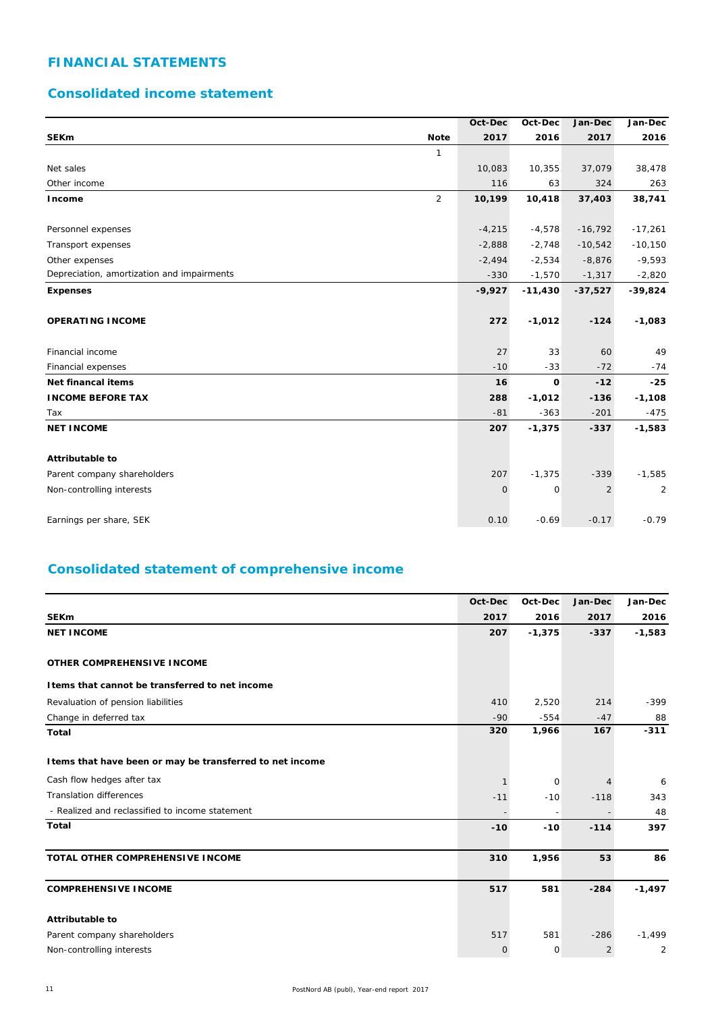### **FINANCIAL STATEMENTS**

### **Consolidated income statement**

|                                            |                | Oct-Dec  | Oct-Dec     | Jan-Dec        | Jan-Dec   |
|--------------------------------------------|----------------|----------|-------------|----------------|-----------|
| <b>SEKm</b>                                | <b>Note</b>    | 2017     | 2016        | 2017           | 2016      |
|                                            | 1              |          |             |                |           |
| Net sales                                  |                | 10,083   | 10,355      | 37,079         | 38,478    |
| Other income                               |                | 116      | 63          | 324            | 263       |
| Income                                     | $\overline{2}$ | 10,199   | 10,418      | 37,403         | 38,741    |
|                                            |                |          |             |                |           |
| Personnel expenses                         |                | $-4,215$ | $-4,578$    | $-16,792$      | $-17,261$ |
| Transport expenses                         |                | $-2,888$ | $-2,748$    | $-10,542$      | $-10,150$ |
| Other expenses                             |                | $-2,494$ | $-2,534$    | $-8,876$       | $-9,593$  |
| Depreciation, amortization and impairments |                | $-330$   | $-1,570$    | $-1,317$       | $-2,820$  |
| <b>Expenses</b>                            |                | $-9,927$ | $-11,430$   | $-37,527$      | $-39,824$ |
| <b>OPERATING INCOME</b>                    |                | 272      | $-1,012$    | $-124$         | $-1,083$  |
| Financial income                           |                | 27       | 33          | 60             | 49        |
| Financial expenses                         |                | $-10$    | $-33$       | $-72$          | $-74$     |
| Net financal items                         |                | 16       | $\mathbf 0$ | $-12$          | $-25$     |
| <b>INCOME BEFORE TAX</b>                   |                | 288      | $-1,012$    | $-136$         | $-1,108$  |
| Tax                                        |                | $-81$    | $-363$      | $-201$         | $-475$    |
| <b>NET INCOME</b>                          |                | 207      | $-1,375$    | $-337$         | $-1,583$  |
| <b>Attributable to</b>                     |                |          |             |                |           |
| Parent company shareholders                |                | 207      | $-1,375$    | $-339$         | $-1,585$  |
| Non-controlling interests                  |                | 0        | $\mathbf 0$ | $\overline{2}$ | 2         |
| Earnings per share, SEK                    |                | 0.10     | $-0.69$     | $-0.17$        | $-0.79$   |

### **Consolidated statement of comprehensive income**

|                                                           | Oct-Dec      | Oct-Dec                  | Jan-Dec        | Jan-Dec  |
|-----------------------------------------------------------|--------------|--------------------------|----------------|----------|
| <b>SEKm</b>                                               | 2017         | 2016                     | 2017           | 2016     |
| <b>NET INCOME</b>                                         | 207          | $-1,375$                 | $-337$         | $-1,583$ |
|                                                           |              |                          |                |          |
| OTHER COMPREHENSIVE INCOME                                |              |                          |                |          |
| I tems that cannot be transferred to net income           |              |                          |                |          |
| Revaluation of pension liabilities                        | 410          | 2,520                    | 214            | $-399$   |
| Change in deferred tax                                    | $-90$        | $-554$                   | $-47$          | 88       |
| <b>Total</b>                                              | 320          | 1,966                    | 167            | $-311$   |
|                                                           |              |                          |                |          |
| I tems that have been or may be transferred to net income |              |                          |                |          |
| Cash flow hedges after tax                                |              | $\mathbf 0$              |                | 6        |
| <b>Translation differences</b>                            | $-11$        | $-10$                    | $-118$         | 343      |
| - Realized and reclassified to income statement           |              | $\overline{\phantom{a}}$ |                | 48       |
| <b>Total</b>                                              | $-10$        | $-10$                    | $-114$         | 397      |
|                                                           |              |                          |                |          |
| TOTAL OTHER COMPREHENSIVE INCOME                          | 310          | 1,956                    | 53             | 86       |
|                                                           |              |                          |                |          |
| <b>COMPREHENSIVE INCOME</b>                               | 517          | 581                      | $-284$         | $-1,497$ |
|                                                           |              |                          |                |          |
| <b>Attributable to</b>                                    |              |                          |                |          |
| Parent company shareholders                               | 517          | 581                      | $-286$         | $-1,499$ |
| Non-controlling interests                                 | $\mathbf{0}$ | 0                        | $\overline{2}$ | 2        |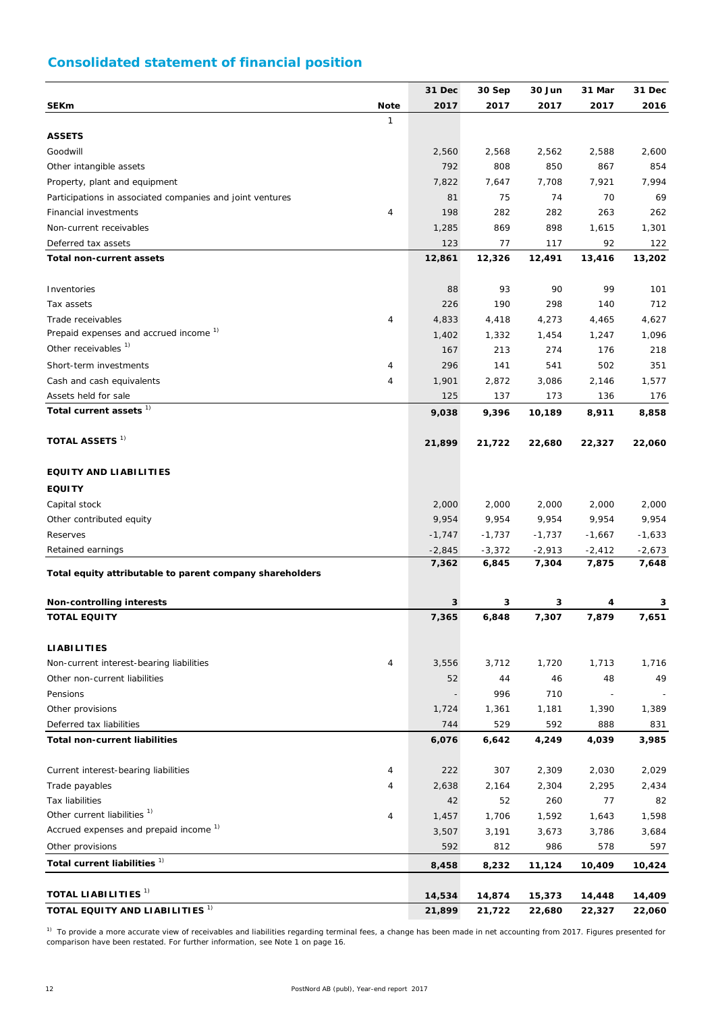## **Consolidated statement of financial position**

|                                                                  |                | 31 Dec       | 30 Sep       | 30 Jun       | 31 Mar       | 31 Dec       |
|------------------------------------------------------------------|----------------|--------------|--------------|--------------|--------------|--------------|
| <b>SEKm</b>                                                      | <b>Note</b>    | 2017         | 2017         | 2017         | 2017         | 2016         |
|                                                                  | 1              |              |              |              |              |              |
| <b>ASSETS</b>                                                    |                |              |              |              |              |              |
| Goodwill                                                         |                | 2,560        | 2,568        | 2,562        | 2,588        | 2,600        |
| Other intangible assets                                          |                | 792          | 808          | 850          | 867          | 854          |
| Property, plant and equipment                                    |                | 7,822        | 7,647        | 7,708        | 7,921        | 7,994        |
| Participations in associated companies and joint ventures        |                | 81           | 75           | 74           | 70           | 69           |
| Financial investments                                            | 4              | 198          | 282          | 282          | 263          | 262          |
| Non-current receivables                                          |                | 1,285        | 869          | 898          | 1,615        | 1,301        |
| Deferred tax assets                                              |                | 123          | 77           | 117          | 92           | 122          |
| <b>Total non-current assets</b>                                  |                | 12,861       | 12,326       | 12,491       | 13,416       | 13,202       |
|                                                                  |                |              |              |              |              |              |
| Inventories                                                      |                | 88           | 93           | 90           | 99           | 101          |
| Tax assets                                                       |                | 226          | 190          | 298          | 140          | 712          |
| Trade receivables                                                | $\overline{4}$ | 4,833        | 4,418        | 4,273        | 4,465        | 4,627        |
| Prepaid expenses and accrued income <sup>1)</sup>                |                | 1,402        | 1,332        | 1,454        | 1,247        | 1,096        |
| Other receivables <sup>1)</sup>                                  |                | 167          | 213          | 274          | 176          | 218          |
| Short-term investments                                           | 4              | 296          | 141          | 541          | 502          | 351          |
| Cash and cash equivalents                                        | 4              | 1,901        | 2,872        | 3,086        | 2,146        | 1,577        |
| Assets held for sale                                             |                | 125          | 137          | 173          | 136          | 176          |
| Total current assets <sup>1)</sup>                               |                | 9,038        | 9,396        | 10,189       | 8,911        | 8,858        |
| <b>TOTAL ASSETS 1)</b>                                           |                |              |              |              |              |              |
|                                                                  |                | 21,899       | 21,722       | 22,680       | 22,327       | 22,060       |
| <b>EQUITY AND LIABILITIES</b>                                    |                |              |              |              |              |              |
| <b>EQUITY</b>                                                    |                |              |              |              |              |              |
| Capital stock                                                    |                | 2,000        | 2,000        | 2,000        | 2,000        | 2,000        |
| Other contributed equity                                         |                | 9,954        | 9,954        | 9,954        | 9,954        | 9,954        |
| Reserves                                                         |                | $-1,747$     | $-1,737$     | $-1,737$     | $-1,667$     | $-1,633$     |
| Retained earnings                                                |                | $-2,845$     | $-3,372$     | $-2,913$     | $-2,412$     | $-2,673$     |
|                                                                  |                | 7,362        | 6,845        | 7,304        | 7,875        | 7,648        |
| Total equity attributable to parent company shareholders         |                |              |              |              |              |              |
| Non-controlling interests                                        |                | 3            | 3            | 3            | 4            | 3            |
| <b>TOTAL EQUITY</b>                                              |                | 7,365        | 6,848        | 7,307        | 7,879        | 7,651        |
|                                                                  |                |              |              |              |              |              |
| <b>LIABILITIES</b>                                               |                |              |              |              |              |              |
| Non-current interest-bearing liabilities                         | 4              | 3,556        | 3,712        | 1,720        | 1,713        | 1,716        |
| Other non-current liabilities                                    |                | 52           | 44           | 46           | 48           | 49           |
| Pensions                                                         |                |              | 996          | 710          |              |              |
| Other provisions                                                 |                | 1,724        | 1,361        | 1,181        | 1,390        | 1,389        |
| Deferred tax liabilities<br><b>Total non-current liabilities</b> |                | 744<br>6,076 | 529<br>6,642 | 592<br>4,249 | 888<br>4,039 | 831<br>3,985 |
|                                                                  |                |              |              |              |              |              |
| Current interest-bearing liabilities                             | 4              | 222          | 307          | 2,309        | 2,030        | 2,029        |
| Trade payables                                                   | 4              | 2,638        | 2,164        | 2,304        | 2,295        | 2,434        |
| <b>Tax liabilities</b>                                           |                | 42           | 52           | 260          | 77           | 82           |
| Other current liabilities <sup>1)</sup>                          | 4              | 1,457        | 1,706        | 1,592        | 1,643        | 1,598        |
| Accrued expenses and prepaid income <sup>1)</sup>                |                | 3,507        | 3,191        | 3,673        | 3,786        | 3,684        |
| Other provisions                                                 |                | 592          | 812          | 986          | 578          | 597          |
| Total current liabilities <sup>1)</sup>                          |                | 8,458        | 8,232        | 11,124       | 10,409       | 10,424       |
|                                                                  |                |              |              |              |              |              |
| TOTAL LIABILITIES <sup>1)</sup>                                  |                | 14,534       | 14,874       | 15,373       | 14,448       | 14,409       |
| TOTAL EQUITY AND LIABILITIES <sup>1)</sup>                       |                | 21,899       | 21,722       | 22,680       | 22,327       | 22,060       |

 $1)$  To provide a more accurate view of receivables and liabilities regarding terminal fees, a change has been made in net accounting from 2017. Figures presented for comparison have been restated. For further information, see Note 1 on page 16.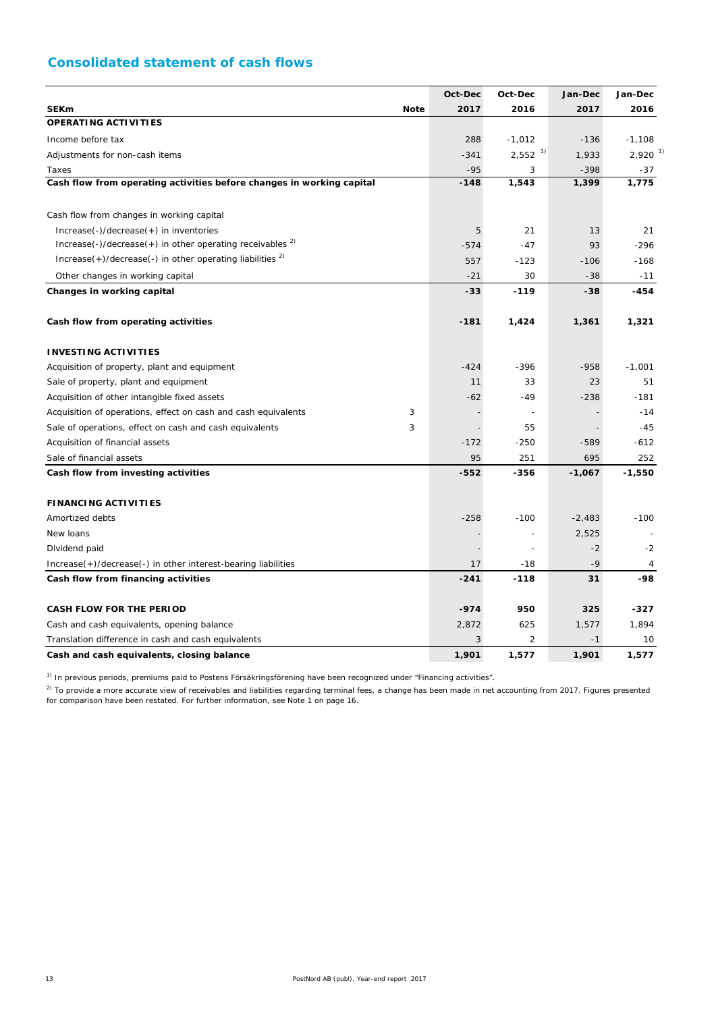### **Consolidated statement of cash flows**

|                                                                        |             | Oct-Dec        | Oct-Dec                  | Jan-Dec  | Jan-Dec               |
|------------------------------------------------------------------------|-------------|----------------|--------------------------|----------|-----------------------|
| <b>SEKm</b>                                                            | <b>Note</b> | 2017           | 2016                     | 2017     | 2016                  |
| OPERATING ACTIVITIES                                                   |             |                |                          |          |                       |
| Income before tax                                                      |             | 288            | $-1,012$                 | $-136$   | $-1,108$              |
| Adjustments for non-cash items                                         |             | $-341$         | $2,552$ <sup>1)</sup>    | 1,933    | $2,920$ <sup>1)</sup> |
| Taxes                                                                  |             | $-95$          | 3                        | $-398$   | -37                   |
| Cash flow from operating activities before changes in working capital  |             | $-148$         | 1,543                    | 1,399    | 1,775                 |
| Cash flow from changes in working capital                              |             |                |                          |          |                       |
| Increase(-)/decrease(+) in inventories                                 |             | 5              | 21                       | 13       | 21                    |
| $Increase(-)/decrease(+)$ in other operating receivables $2$           |             | $-574$         | $-47$                    | 93       | $-296$                |
| $Increase(+)/decrease(-)$ in other operating liabilities <sup>2)</sup> |             | 557            | $-123$                   | $-106$   | $-168$                |
| Other changes in working capital                                       |             | $-21$          | 30                       | $-38$    | $-11$                 |
| Changes in working capital                                             |             | $-33$          | $-119$                   | -38      | -454                  |
| Cash flow from operating activities                                    |             | $-181$         | 1,424                    | 1,361    | 1,321                 |
| <b>INVESTING ACTIVITIES</b>                                            |             |                |                          |          |                       |
| Acquisition of property, plant and equipment                           |             | $-424$         | $-396$                   | $-958$   | $-1,001$              |
| Sale of property, plant and equipment                                  |             | 11             | 33                       | 23       | 51                    |
| Acquisition of other intangible fixed assets                           |             | $-62$          | $-49$                    | $-238$   | $-181$                |
| Acquisition of operations, effect on cash and cash equivalents         | 3           |                |                          |          | $-14$                 |
| Sale of operations, effect on cash and cash equivalents                | 3           | $\overline{a}$ | 55                       |          | $-45$                 |
| Acquisition of financial assets                                        |             | $-172$         | $-250$                   | $-589$   | $-612$                |
| Sale of financial assets                                               |             | 95             | 251                      | 695      | 252                   |
| Cash flow from investing activities                                    |             | $-552$         | -356                     | $-1,067$ | $-1,550$              |
| <b>FINANCING ACTIVITIES</b>                                            |             |                |                          |          |                       |
| Amortized debts                                                        |             | $-258$         | $-100$                   | $-2,483$ | $-100$                |
| New loans                                                              |             |                | $\overline{\phantom{a}}$ | 2,525    |                       |
| Dividend paid                                                          |             |                | $\overline{a}$           | $-2$     | $-2$                  |
| $Increase(+) / decrease(-)$ in other interest-bearing liabilities      |             | 17             | -18                      | $-9$     | 4                     |
| Cash flow from financing activities                                    |             | $-241$         | $-118$                   | 31       | -98                   |
| <b>CASH FLOW FOR THE PERIOD</b>                                        |             | $-974$         | 950                      | 325      | $-327$                |
| Cash and cash equivalents, opening balance                             |             | 2,872          | 625                      | 1,577    | 1,894                 |
| Translation difference in cash and cash equivalents                    |             | 3              | $\overline{2}$           | $-1$     | 10                    |
| Cash and cash equivalents, closing balance                             |             | 1,901          | 1,577                    | 1,901    | 1,577                 |

<sup>1)</sup> In previous periods, premiums paid to Postens Försäkringsförening have been recognized under "Financing activities".

 $^{2)}$  To provide a more accurate view of receivables and liabilities regarding terminal fees, a change has been made in net accounting from 2017. Figures presented for comparison have been restated. For further information, see Note 1 on page 16.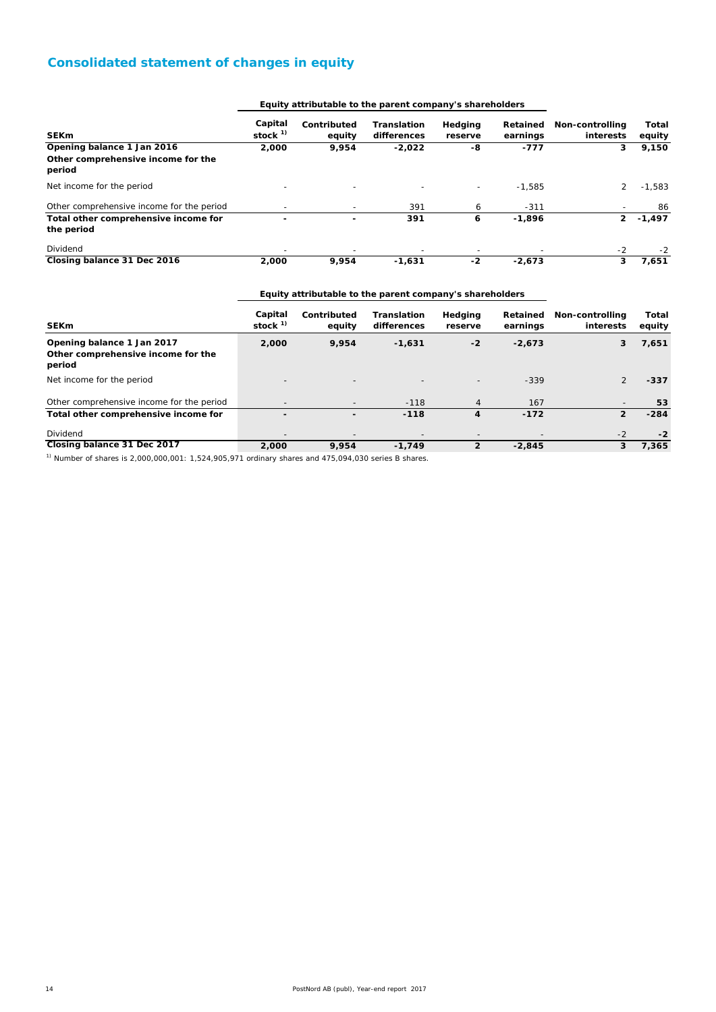### **Consolidated statement of changes in equity**

|                                                                            |                      | Equity attributable to the parent company's shareholders |                            |                    |                      |                              |                 |
|----------------------------------------------------------------------------|----------------------|----------------------------------------------------------|----------------------------|--------------------|----------------------|------------------------------|-----------------|
| <b>SEKm</b>                                                                | Capital<br>stock $1$ | Contributed<br>equity                                    | Translation<br>differences | Hedging<br>reserve | Retained<br>earnings | Non-controlling<br>interests | Total<br>equity |
| Opening balance 1 Jan 2016<br>Other comprehensive income for the<br>period | 2,000                | 9,954                                                    | $-2,022$                   | -8                 | -777                 | 3                            | 9,150           |
| Net income for the period                                                  |                      |                                                          |                            |                    | $-1.585$             | $\overline{2}$               | $-1.583$        |
| Other comprehensive income for the period                                  |                      |                                                          | 391                        | 6                  | $-311$               |                              | 86              |
| Total other comprehensive income for<br>the period                         |                      |                                                          | 391                        | 6                  | $-1,896$             | $\overline{2}$               | $-1,497$        |
| Dividend                                                                   |                      |                                                          |                            |                    |                      | $-2$                         | $-2$            |
| Closing balance 31 Dec 2016                                                | 2,000                | 9,954                                                    | $-1,631$                   | $-2$               | $-2,673$             | 3                            | 7,651           |

#### **Equity attributable to the parent company's shareholders**

| <b>SEKm</b>                                                                                                     | Capital<br>stock $1$ | Contributed<br>equity    | <b>Translation</b><br>differences | Hedging<br>reserve | Retained<br>earnings     | Non-controlling<br>interests | Total<br>equity |
|-----------------------------------------------------------------------------------------------------------------|----------------------|--------------------------|-----------------------------------|--------------------|--------------------------|------------------------------|-----------------|
| Opening balance 1 Jan 2017<br>Other comprehensive income for the<br>period                                      | 2,000                | 9,954                    | $-1,631$                          | $-2$               | $-2,673$                 | 3                            | 7,651           |
| Net income for the period                                                                                       |                      |                          |                                   |                    | $-339$                   |                              | $-337$          |
| Other comprehensive income for the period                                                                       |                      |                          | $-118$                            | $\overline{4}$     | 167                      |                              | 53              |
| Total other comprehensive income for                                                                            |                      | $\overline{\phantom{a}}$ | $-118$                            | 4                  | $-172$                   | 2                            | $-284$          |
| Dividend                                                                                                        |                      | $\overline{\phantom{a}}$ | $\overline{\phantom{a}}$          |                    | $\overline{\phantom{a}}$ | $-2$                         | $-2$            |
| Closing balance 31 Dec 2017                                                                                     | 2,000                | 9.954                    | $-1.749$                          | $\overline{2}$     | $-2,845$                 | 3                            | 7,365           |
| The contract of the contract of the contract of the contract of the contract of the contract of the contract of |                      |                          |                                   |                    |                          |                              |                 |

 $1)$  Number of shares is 2,000,000,001: 1,524,905,971 ordinary shares and 475,094,030 series B shares.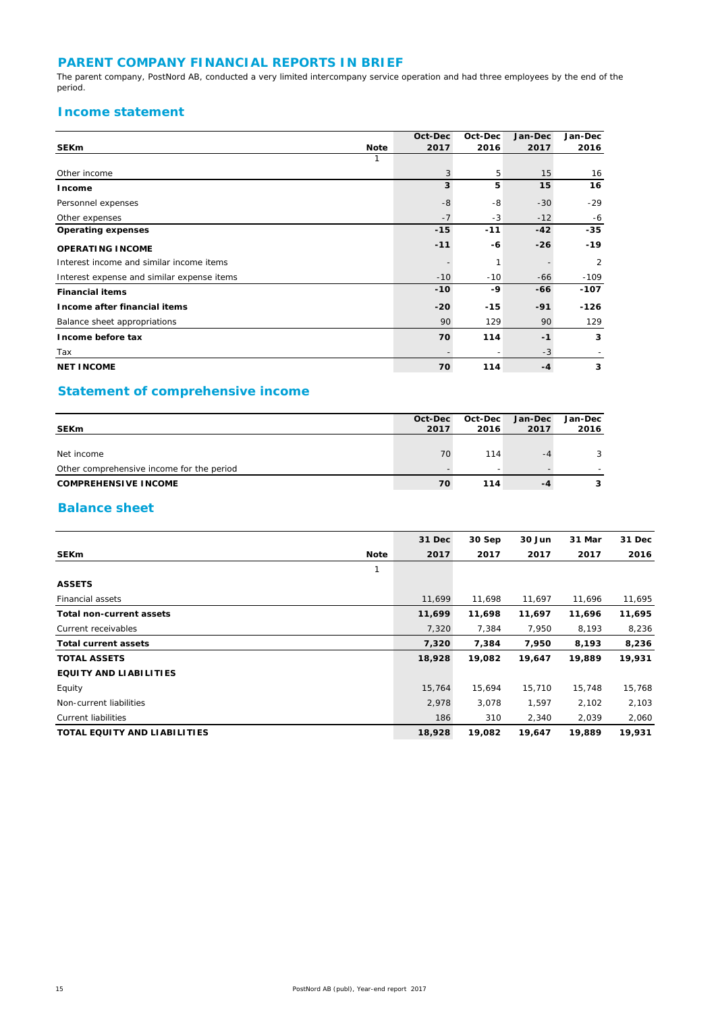### **PARENT COMPANY FINANCIAL REPORTS IN BRIEF**

The parent company, PostNord AB, conducted a very limited intercompany service operation and had three employees by the end of the period.

### **Income statement**

|                                            |             | Oct-Dec | Oct-Dec | Jan-Dec | Jan-Dec        |
|--------------------------------------------|-------------|---------|---------|---------|----------------|
| <b>SEKm</b>                                | <b>Note</b> | 2017    | 2016    | 2017    | 2016           |
|                                            |             |         |         |         |                |
| Other income                               |             | 3       | 5       | 15      | 16             |
| Income                                     |             | 3       | 5       | 15      | 16             |
| Personnel expenses                         |             | $-8$    | -8      | $-30$   | $-29$          |
| Other expenses                             |             | $-7$    | $-3$    | $-12$   | $-6$           |
| <b>Operating expenses</b>                  |             | $-15$   | $-11$   | $-42$   | $-35$          |
| <b>OPERATING INCOME</b>                    |             | $-11$   | -6      | $-26$   | $-19$          |
| Interest income and similar income items   |             |         | 1       |         | $\overline{2}$ |
| Interest expense and similar expense items |             | $-10$   | $-10$   | -66     | $-109$         |
| <b>Financial items</b>                     |             | $-10$   | -9      | -66     | $-107$         |
| Income after financial items               |             | $-20$   | $-15$   | $-91$   | $-126$         |
| Balance sheet appropriations               |             | 90      | 129     | 90      | 129            |
| Income before tax                          |             | 70      | 114     | $-1$    | 3              |
| Tax                                        |             |         |         | $-3$    |                |
| <b>NET INCOME</b>                          |             | 70      | 114     | $-4$    | 3              |

### **Statement of comprehensive income**

|                                           | Oct-Dec | Oct-Dec                  | <b>Jan-Dec</b> | Jan-Dec |
|-------------------------------------------|---------|--------------------------|----------------|---------|
| <b>SEKm</b>                               | 2017    | 2016                     | 2017           | 2016    |
|                                           |         |                          |                |         |
| Net income                                | 70      | 114                      | -4             | 3       |
| Other comprehensive income for the period |         | $\overline{\phantom{a}}$ |                |         |
| <b>COMPREHENSIVE INCOME</b>               | 70      | 114                      | -4             | 3       |

### **Balance sheet**

|                                 | 31 Dec | 30 Sep | 30 Jun | 31 Mar | 31 Dec |
|---------------------------------|--------|--------|--------|--------|--------|
|                                 |        |        |        |        |        |
| <b>SEKm</b><br><b>Note</b>      | 2017   | 2017   | 2017   | 2017   | 2016   |
| 1                               |        |        |        |        |        |
| <b>ASSETS</b>                   |        |        |        |        |        |
| Financial assets                | 11,699 | 11,698 | 11,697 | 11,696 | 11,695 |
| <b>Total non-current assets</b> | 11,699 | 11,698 | 11,697 | 11,696 | 11,695 |
| Current receivables             | 7,320  | 7,384  | 7,950  | 8,193  | 8,236  |
| <b>Total current assets</b>     | 7,320  | 7,384  | 7,950  | 8,193  | 8,236  |
| <b>TOTAL ASSETS</b>             | 18,928 | 19,082 | 19,647 | 19,889 | 19,931 |
| <b>EQUITY AND LIABILITIES</b>   |        |        |        |        |        |
| Equity                          | 15,764 | 15,694 | 15,710 | 15,748 | 15,768 |
| Non-current liabilities         | 2,978  | 3,078  | 1,597  | 2,102  | 2,103  |
| <b>Current liabilities</b>      | 186    | 310    | 2,340  | 2,039  | 2,060  |
| TOTAL EQUITY AND LIABILITIES    | 18,928 | 19,082 | 19,647 | 19,889 | 19,931 |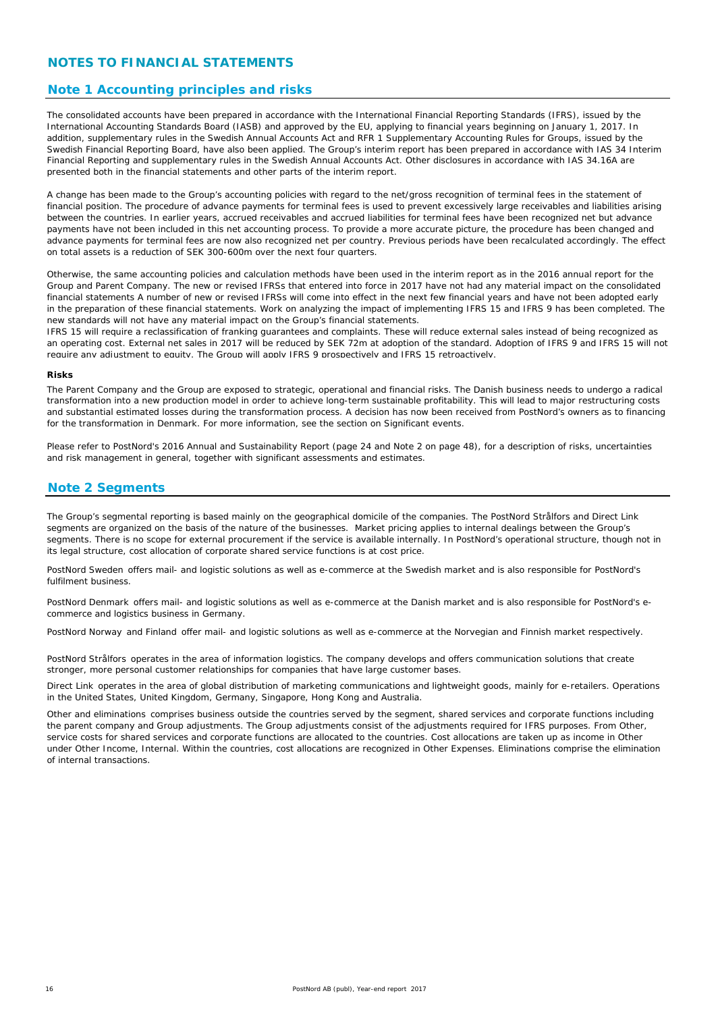### **NOTES TO FINANCIAL STATEMENTS**

#### **Note 1 Accounting principles and risks**

The consolidated accounts have been prepared in accordance with the International Financial Reporting Standards (IFRS), issued by the International Accounting Standards Board (IASB) and approved by the EU, applying to financial years beginning on January 1, 2017. In addition, supplementary rules in the Swedish Annual Accounts Act and RFR 1 Supplementary Accounting Rules for Groups, issued by the Swedish Financial Reporting Board, have also been applied. The Group's interim report has been prepared in accordance with IAS 34 Interim Financial Reporting and supplementary rules in the Swedish Annual Accounts Act. Other disclosures in accordance with IAS 34.16A are presented both in the financial statements and other parts of the interim report.

A change has been made to the Group's accounting policies with regard to the net/gross recognition of terminal fees in the statement of financial position. The procedure of advance payments for terminal fees is used to prevent excessively large receivables and liabilities arising between the countries. In earlier years, accrued receivables and accrued liabilities for terminal fees have been recognized net but advance payments have not been included in this net accounting process. To provide a more accurate picture, the procedure has been changed and advance payments for terminal fees are now also recognized net per country. Previous periods have been recalculated accordingly. The effect on total assets is a reduction of SEK 300-600m over the next four quarters.

Otherwise, the same accounting policies and calculation methods have been used in the interim report as in the 2016 annual report for the Group and Parent Company. The new or revised IFRSs that entered into force in 2017 have not had any material impact on the consolidated financial statements A number of new or revised IFRSs will come into effect in the next few financial years and have not been adopted early in the preparation of these financial statements. Work on analyzing the impact of implementing IFRS 15 and IFRS 9 has been completed. The new standards will not have any material impact on the Group's financial statements.

IFRS 15 will require a reclassification of franking guarantees and complaints. These will reduce external sales instead of being recognized as an operating cost. External net sales in 2017 will be reduced by SEK 72m at adoption of the standard. Adoption of IFRS 9 and IFRS 15 will not require any adjustment to equity. The Group will apply IFRS 9 prospectively and IFRS 15 retroactively.

#### **Risks**

The Parent Company and the Group are exposed to strategic, operational and financial risks. The Danish business needs to undergo a radical transformation into a new production model in order to achieve long-term sustainable profitability. This will lead to major restructuring costs and substantial estimated losses during the transformation process. A decision has now been received from PostNord's owners as to financing for the transformation in Denmark. For more information, see the section on Significant events.

Please refer to PostNord's 2016 Annual and Sustainability Report (page 24 and Note 2 on page 48), for a description of risks, uncertainties and risk management in general, together with significant assessments and estimates.

#### **Note 2 Segments**

The Group's segmental reporting is based mainly on the geographical domicile of the companies. The PostNord Strålfors and Direct Link segments are organized on the basis of the nature of the businesses. Market pricing applies to internal dealings between the Group's segments. There is no scope for external procurement if the service is available internally. In PostNord's operational structure, though not in its legal structure, cost allocation of corporate shared service functions is at cost price.

*PostNord Sweden* offers mail- and logistic solutions as well as e-commerce at the Swedish market and is also responsible for PostNord's fulfilment business.

*PostNord Denmark* offers mail- and logistic solutions as well as e-commerce at the Danish market and is also responsible for PostNord's ecommerce and logistics business in Germany.

*PostNord Norway* and *Finland* offer mail- and logistic solutions as well as e-commerce at the Norvegian and Finnish market respectively.

*PostNord Strålfors* operates in the area of information logistics. The company develops and offers communication solutions that create stronger, more personal customer relationships for companies that have large customer bases.

*Direct Link* operates in the area of global distribution of marketing communications and lightweight goods, mainly for e-retailers. Operations in the United States, United Kingdom, Germany, Singapore, Hong Kong and Australia.

*Other and eliminations* comprises business outside the countries served by the segment, shared services and corporate functions including the parent company and Group adjustments. The Group adjustments consist of the adjustments required for IFRS purposes. From Other, service costs for shared services and corporate functions are allocated to the countries. Cost allocations are taken up as income in Other under Other Income, Internal. Within the countries, cost allocations are recognized in Other Expenses. Eliminations comprise the elimination of internal transactions.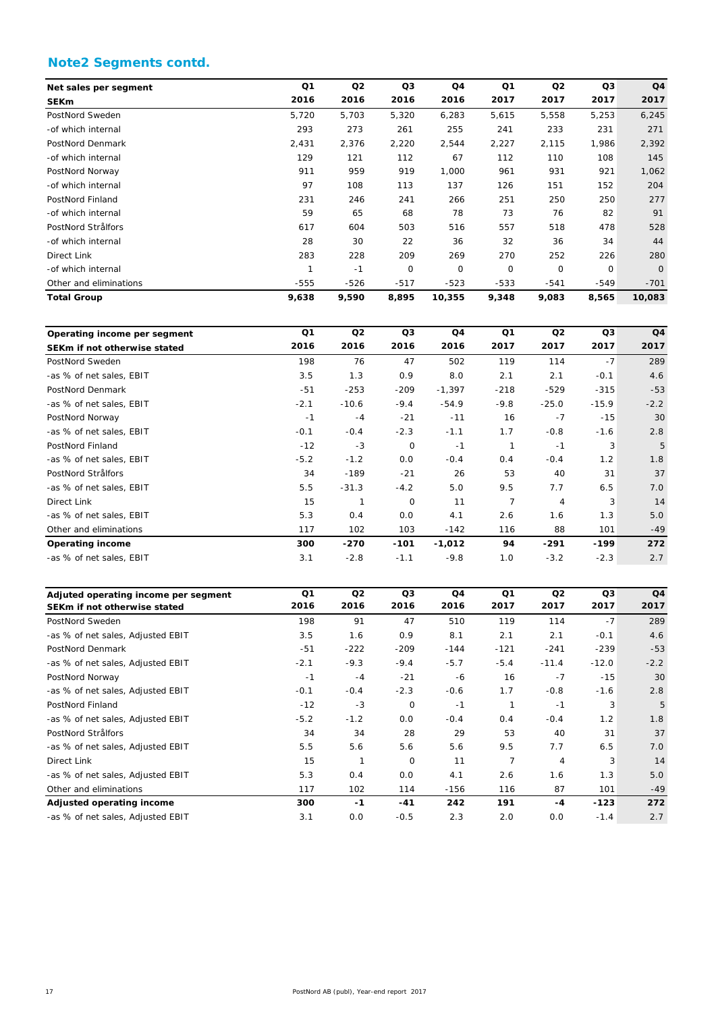### **Note2 Segments contd.**

| Net sales per segment  | Q1     | Q <sub>2</sub> | Q3     | Q4     | Q <sub>1</sub> | Q <sub>2</sub> | Q3             | Q <sub>4</sub> |
|------------------------|--------|----------------|--------|--------|----------------|----------------|----------------|----------------|
| <b>SEKm</b>            | 2016   | 2016           | 2016   | 2016   | 2017           | 2017           | 2017           | 2017           |
| PostNord Sweden        | 5,720  | 5,703          | 5,320  | 6,283  | 5,615          | 5,558          | 5,253          | 6,245          |
| -of which internal     | 293    | 273            | 261    | 255    | 241            | 233            | 231            | 271            |
| PostNord Denmark       | 2,431  | 2,376          | 2,220  | 2,544  | 2,227          | 2,115          | 1,986          | 2,392          |
| -of which internal     | 129    | 121            | 112    | 67     | 112            | 110            | 108            | 145            |
| PostNord Norway        | 911    | 959            | 919    | 1,000  | 961            | 931            | 921            | 1,062          |
| -of which internal     | 97     | 108            | 113    | 137    | 126            | 151            | 152            | 204            |
| PostNord Finland       | 231    | 246            | 241    | 266    | 251            | 250            | 250            | 277            |
| -of which internal     | 59     | 65             | 68     | 78     | 73             | 76             | 82             | 91             |
| PostNord Strålfors     | 617    | 604            | 503    | 516    | 557            | 518            | 478            | 528            |
| -of which internal     | 28     | 30             | 22     | 36     | 32             | 36             | 34             | 44             |
| Direct Link            | 283    | 228            | 209    | 269    | 270            | 252            | 226            | 280            |
| -of which internal     |        | $-1$           | 0      | 0      | 0              | 0              | $\overline{O}$ | $\overline{O}$ |
| Other and eliminations | $-555$ | $-526$         | $-517$ | $-523$ | $-533$         | $-541$         | $-549$         | $-701$         |
| <b>Total Group</b>     | 9,638  | 9,590          | 8,895  | 10,355 | 9,348          | 9,083          | 8,565          | 10,083         |

|                              | Q1     | Q2      | Q3          | Q4       | Q1     | Q2      | Q3      | Q4     |
|------------------------------|--------|---------|-------------|----------|--------|---------|---------|--------|
| Operating income per segment |        |         |             |          |        |         |         |        |
| SEKm if not otherwise stated | 2016   | 2016    | 2016        | 2016     | 2017   | 2017    | 2017    | 2017   |
| PostNord Sweden              | 198    | 76      | 47          | 502      | 119    | 114     | $-7$    | 289    |
| -as % of net sales, EBIT     | 3.5    | 1.3     | 0.9         | 8.0      | 2.1    | 2.1     | $-0.1$  | 4.6    |
| PostNord Denmark             | $-51$  | $-253$  | $-209$      | $-1,397$ | $-218$ | $-529$  | $-315$  | $-53$  |
| -as % of net sales, EBIT     | $-2.1$ | $-10.6$ | $-9.4$      | $-54.9$  | $-9.8$ | $-25.0$ | $-15.9$ | $-2.2$ |
| PostNord Norway              | $-1$   | $-4$    | $-21$       | $-11$    | 16     | $-7$    | $-15$   | 30     |
| -as % of net sales. EBIT     | $-0.1$ | $-0.4$  | $-2.3$      | $-1.1$   | 1.7    | $-0.8$  | $-1.6$  | 2.8    |
| PostNord Finland             | $-12$  | $-3$    | $\mathbf 0$ | $-1$     | 1      | $-1$    | 3       | 5      |
| -as % of net sales, EBIT     | $-5.2$ | $-1.2$  | 0.0         | $-0.4$   | 0.4    | $-0.4$  | 1.2     | 1.8    |
| PostNord Strålfors           | 34     | $-189$  | $-21$       | 26       | 53     | 40      | 31      | 37     |
| -as % of net sales, EBIT     | 5.5    | $-31.3$ | $-4.2$      | 5.0      | 9.5    | 7.7     | 6.5     | 7.0    |
| Direct Link                  | 15     |         | $\mathbf 0$ | 11       | 7      | 4       | 3       | 14     |
| -as % of net sales, EBIT     | 5.3    | 0.4     | 0.0         | 4.1      | 2.6    | 1.6     | 1.3     | 5.0    |
| Other and eliminations       | 117    | 102     | 103         | $-142$   | 116    | 88      | 101     | $-49$  |
| <b>Operating income</b>      | 300    | $-270$  | $-101$      | $-1,012$ | 94     | -291    | -199    | 272    |
| -as % of net sales, EBIT     | 3.1    | $-2.8$  | $-1.1$      | $-9.8$   | 1.0    | $-3.2$  | $-2.3$  | 2.7    |

| Adjuted operating income per segment | Q <sub>1</sub> | Q <sub>2</sub> | Q <sub>3</sub> | Q <sub>4</sub> | Q <sub>1</sub> | Q <sub>2</sub> | Q <sub>3</sub> | Q <sub>4</sub> |
|--------------------------------------|----------------|----------------|----------------|----------------|----------------|----------------|----------------|----------------|
| SEKm if not otherwise stated         | 2016           | 2016           | 2016           | 2016           | 2017           | 2017           | 2017           | 2017           |
| PostNord Sweden                      | 198            | 91             | 47             | 510            | 119            | 114            | $-7$           | 289            |
| -as % of net sales, Adjusted EBIT    | 3.5            | 1.6            | 0.9            | 8.1            | 2.1            | 2.1            | $-0.1$         | 4.6            |
| PostNord Denmark                     | $-51$          | $-222$         | $-209$         | $-144$         | $-121$         | $-241$         | $-239$         | $-53$          |
| -as % of net sales, Adjusted EBIT    | $-2.1$         | $-9.3$         | $-9.4$         | $-5.7$         | $-5.4$         | $-11.4$        | $-12.0$        | $-2.2$         |
| PostNord Norway                      | $-1$           | $-4$           | $-21$          | -6             | 16             | $-7$           | $-15$          | 30             |
| -as % of net sales, Adjusted EBIT    | $-0.1$         | $-0.4$         | $-2.3$         | $-0.6$         | 1.7            | $-0.8$         | $-1.6$         | 2.8            |
| PostNord Finland                     | $-12$          | $-3$           | 0              | $-1$           |                | -1             | 3              | 5              |
| -as % of net sales, Adjusted EBIT    | $-5.2$         | $-1.2$         | 0.0            | $-0.4$         | 0.4            | $-0.4$         | 1.2            | 1.8            |
| PostNord Strålfors                   | 34             | 34             | 28             | 29             | 53             | 40             | 31             | 37             |
| -as % of net sales, Adjusted EBIT    | 5.5            | 5.6            | 5.6            | 5.6            | 9.5            | 7.7            | 6.5            | 7.0            |
| Direct Link                          | 15             | 1              | $\mathbf 0$    | 11             | $\overline{7}$ | $\overline{4}$ | 3              | 14             |
| -as % of net sales, Adjusted EBIT    | 5.3            | 0.4            | 0.0            | 4.1            | 2.6            | 1.6            | 1.3            | 5.0            |
| Other and eliminations               | 117            | 102            | 114            | $-156$         | 116            | 87             | 101            | $-49$          |
| Adjusted operating income            | 300            | $-1$           | $-41$          | 242            | 191            | $-4$           | -123           | 272            |
| -as % of net sales, Adjusted EBIT    | 3.1            | O.O            | $-0.5$         | 2.3            | 2.0            | O.O            | $-1.4$         | 2.7            |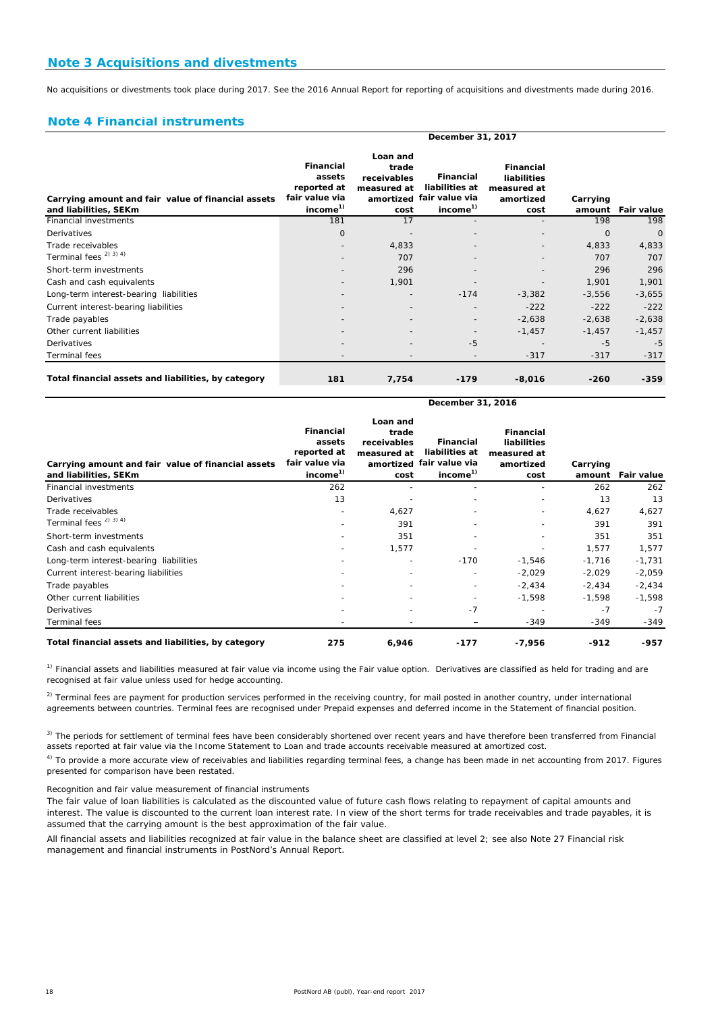No acquisitions or divestments took place during 2017. See the 2016 Annual Report for reporting of acquisitions and divestments made during 2016.

#### **Note 4 Financial instruments**

|                                                                             | December 31, 2017                                                                   |                                                         |                                                                                 |                                                                     |                    |            |  |  |  |  |
|-----------------------------------------------------------------------------|-------------------------------------------------------------------------------------|---------------------------------------------------------|---------------------------------------------------------------------------------|---------------------------------------------------------------------|--------------------|------------|--|--|--|--|
| Carrying amount and fair value of financial assets<br>and liabilities, SEKm | <b>Financial</b><br>assets<br>reported at<br>fair value via<br>income <sup>1)</sup> | Loan and<br>trade<br>receivables<br>measured at<br>cost | Financial<br>liabilities at<br>amortized fair value via<br>income <sup>1)</sup> | <b>Financial</b><br>liabilities<br>measured at<br>amortized<br>cost | Carrying<br>amount | Fair value |  |  |  |  |
| Financial investments                                                       | 181                                                                                 | 17                                                      |                                                                                 |                                                                     | 198                | 198        |  |  |  |  |
| Derivatives                                                                 | $\Omega$                                                                            |                                                         |                                                                                 |                                                                     | $\Omega$           | $\Omega$   |  |  |  |  |
| Trade receivables                                                           |                                                                                     | 4,833                                                   |                                                                                 |                                                                     | 4,833              | 4,833      |  |  |  |  |
| Terminal fees <sup>2) 3) 4)</sup>                                           |                                                                                     | 707                                                     |                                                                                 |                                                                     | 707                | 707        |  |  |  |  |
| Short-term investments                                                      |                                                                                     | 296                                                     |                                                                                 |                                                                     | 296                | 296        |  |  |  |  |
| Cash and cash equivalents                                                   |                                                                                     | 1,901                                                   |                                                                                 |                                                                     | 1,901              | 1,901      |  |  |  |  |
| Long-term interest-bearing liabilities                                      |                                                                                     | $\overline{\phantom{a}}$                                | $-174$                                                                          | $-3,382$                                                            | $-3,556$           | $-3,655$   |  |  |  |  |
| Current interest-bearing liabilities                                        |                                                                                     |                                                         |                                                                                 | $-222$                                                              | $-222$             | $-222$     |  |  |  |  |
| Trade payables                                                              |                                                                                     |                                                         |                                                                                 | $-2,638$                                                            | $-2,638$           | $-2,638$   |  |  |  |  |
| Other current liabilities                                                   |                                                                                     |                                                         |                                                                                 | $-1,457$                                                            | $-1,457$           | $-1,457$   |  |  |  |  |
| Derivatives                                                                 |                                                                                     |                                                         | $-5$                                                                            |                                                                     | $-5$               | $-5$       |  |  |  |  |
| Terminal fees                                                               |                                                                                     |                                                         |                                                                                 | $-317$                                                              | $-317$             | $-317$     |  |  |  |  |
| Total financial assets and liabilities, by category                         | 181                                                                                 | 7,754                                                   | $-179$                                                                          | $-8,016$                                                            | $-260$             | $-359$     |  |  |  |  |

| Carrying amount and fair value of financial assets<br>and liabilities, SEKm | <b>Financial</b><br>assets<br>reported at<br>fair value via<br>income <sup>1)</sup> | Loan and<br>trade<br>receivables<br>measured at<br>cost | <b>Financial</b><br>liabilities at<br>amortized fair value via<br>income <sup>1)</sup> | <b>Financial</b><br>liabilities<br>measured at<br>amortized<br>cost | Carrying<br>amount | Fair value |
|-----------------------------------------------------------------------------|-------------------------------------------------------------------------------------|---------------------------------------------------------|----------------------------------------------------------------------------------------|---------------------------------------------------------------------|--------------------|------------|
| <b>Financial investments</b>                                                | 262                                                                                 |                                                         |                                                                                        |                                                                     | 262                | 262        |
| Derivatives                                                                 | 13                                                                                  |                                                         | $\overline{\phantom{0}}$                                                               |                                                                     | 13                 | 13         |
| Trade receivables                                                           |                                                                                     | 4,627                                                   | $\overline{\phantom{a}}$                                                               | $\overline{\phantom{a}}$                                            | 4,627              | 4,627      |
| Terminal fees <sup>2)</sup> 3) <sup>4</sup> )                               |                                                                                     | 391                                                     | -                                                                                      | $\overline{\phantom{0}}$                                            | 391                | 391        |
| Short-term investments                                                      |                                                                                     | 351                                                     |                                                                                        |                                                                     | 351                | 351        |
| Cash and cash equivalents                                                   |                                                                                     | 1,577                                                   |                                                                                        |                                                                     | 1,577              | 1,577      |
| Long-term interest-bearing liabilities                                      |                                                                                     |                                                         | $-170$                                                                                 | $-1,546$                                                            | $-1,716$           | $-1,731$   |
| Current interest-bearing liabilities                                        |                                                                                     |                                                         |                                                                                        | $-2,029$                                                            | $-2,029$           | $-2,059$   |
| Trade payables                                                              |                                                                                     |                                                         | $\overline{\phantom{0}}$                                                               | $-2,434$                                                            | $-2,434$           | $-2,434$   |
| Other current liabilities                                                   |                                                                                     |                                                         |                                                                                        | $-1,598$                                                            | $-1,598$           | $-1,598$   |
| Derivatives                                                                 |                                                                                     |                                                         | $-7$                                                                                   |                                                                     | $-7$               | $-7$       |
| Terminal fees                                                               |                                                                                     |                                                         |                                                                                        | $-349$                                                              | $-349$             | -349       |
| Total financial assets and liabilities, by category                         | 275                                                                                 | 6,946                                                   | $-177$                                                                                 | $-7,956$                                                            | $-912$             | -957       |

**December 31, 2016**

 $1)$  Financial assets and liabilities measured at fair value via income using the Fair value option. Derivatives are classified as held for trading and are recognised at fair value unless used for hedge accounting.

<sup>2)</sup> Terminal fees are payment for production services performed in the receiving country, for mail posted in another country, under international agreements between countries. Terminal fees are recognised under Prepaid expenses and deferred income in the Statement of financial position.

<sup>3)</sup> The periods for settlement of terminal fees have been considerably shortened over recent years and have therefore been transferred from Financial assets reported at fair value via the Income Statement to Loan and trade accounts receivable measured at amortized cost.

<sup>4)</sup> To provide a more accurate view of receivables and liabilities regarding terminal fees, a change has been made in net accounting from 2017. Figures presented for comparison have been restated.

*Recognition and fair value measurement of financial instruments*

The fair value of loan liabilities is calculated as the discounted value of future cash flows relating to repayment of capital amounts and interest. The value is discounted to the current loan interest rate. In view of the short terms for trade receivables and trade payables, it is assumed that the carrying amount is the best approximation of the fair value.

All financial assets and liabilities recognized at fair value in the balance sheet are classified at level 2; see also Note 27 Financial risk management and financial instruments in PostNord's Annual Report.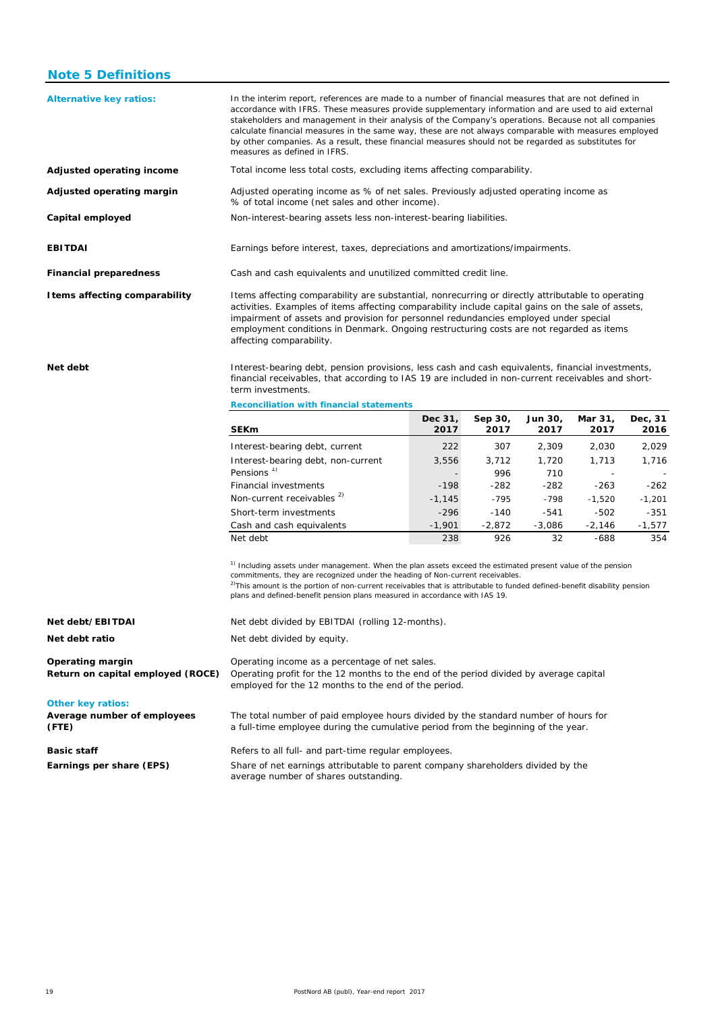#### **Note 5 Definitions**

| <b>Alternative key ratios:</b> | In the interim report, references are made to a number of financial measures that are not defined in<br>accordance with IFRS. These measures provide supplementary information and are used to aid external<br>stakeholders and management in their analysis of the Company's operations. Because not all companies<br>calculate financial measures in the same way, these are not always comparable with measures employed<br>by other companies. As a result, these financial measures should not be regarded as substitutes for<br>measures as defined in IFRS. |
|--------------------------------|--------------------------------------------------------------------------------------------------------------------------------------------------------------------------------------------------------------------------------------------------------------------------------------------------------------------------------------------------------------------------------------------------------------------------------------------------------------------------------------------------------------------------------------------------------------------|
| Adjusted operating income      | Total income less total costs, excluding items affecting comparability.                                                                                                                                                                                                                                                                                                                                                                                                                                                                                            |
| Adjusted operating margin      | Adjusted operating income as % of net sales. Previously adjusted operating income as<br>% of total income (net sales and other income).                                                                                                                                                                                                                                                                                                                                                                                                                            |
| Capital employed               | Non-interest-bearing assets less non-interest-bearing liabilities.                                                                                                                                                                                                                                                                                                                                                                                                                                                                                                 |
| <b>EBITDAI</b>                 | Earnings before interest, taxes, depreciations and amortizations/impairments.                                                                                                                                                                                                                                                                                                                                                                                                                                                                                      |
| <b>Financial preparedness</b>  | Cash and cash equivalents and unutilized committed credit line.                                                                                                                                                                                                                                                                                                                                                                                                                                                                                                    |
| I tems affecting comparability | Items affecting comparability are substantial, nonrecurring or directly attributable to operating<br>activities. Examples of items affecting comparability include capital gains on the sale of assets,<br>impairment of assets and provision for personnel redundancies employed under special<br>employment conditions in Denmark. Ongoing restructuring costs are not regarded as items<br>affecting comparability.                                                                                                                                             |

**Net debt**

Interest-bearing debt, pension provisions, less cash and cash equivalents, financial investments, financial receivables, that according to IAS 19 are included in non-current receivables and shortterm investments.

**Reconciliation with financial statements**

| <b>SEKm</b>                                                  | Dec 31,<br>2017 | Sep 30,<br>2017 | Jun 30,<br>2017 | Mar 31,<br>2017 | Dec, 31<br>2016 |
|--------------------------------------------------------------|-----------------|-----------------|-----------------|-----------------|-----------------|
| Interest-bearing debt, current                               | 222             | 307             | 2.309           | 2.030           | 2,029           |
| Interest-bearing debt, non-current<br>Pensions <sup>1)</sup> | 3,556<br>۰      | 3.712<br>996    | 1.720<br>710    | 1.713           | 1.716           |
| <b>Financial investments</b>                                 | $-198$          | $-282$          | $-282$          | $-263$          | $-262$          |
| Non-current receivables <sup>2)</sup>                        | $-1.145$        | $-795$          | $-798$          | $-1.520$        | $-1,201$        |
| Short-term investments                                       | $-296$          | $-140$          | $-541$          | $-502$          | $-351$          |
| Cash and cash equivalents                                    | $-1.901$        | $-2.872$        | $-3.086$        | $-2.146$        | $-1,577$        |
| Net debt                                                     | 238             | 926             | 32              | -688            | 354             |

<sup>1)</sup> Including assets under management. When the plan assets exceed the estimated present value of the pension commitments, they are recognized under the heading of Non-current receivables.

2)This amount is the portion of non-current receivables that is attributable to funded defined-benefit disability pension plans and defined-benefit pension plans measured in accordance with IAS 19.

| Net debt/EBITDAI                     | Net debt divided by EBITDAI (rolling 12-months).                                                                                                                         |  |  |  |  |
|--------------------------------------|--------------------------------------------------------------------------------------------------------------------------------------------------------------------------|--|--|--|--|
| Net debt ratio                       | Net debt divided by equity.                                                                                                                                              |  |  |  |  |
| Operating margin                     | Operating income as a percentage of net sales.                                                                                                                           |  |  |  |  |
| Return on capital employed (ROCE)    | Operating profit for the 12 months to the end of the period divided by average capital<br>employed for the 12 months to the end of the period.                           |  |  |  |  |
| <b>Other key ratios:</b>             |                                                                                                                                                                          |  |  |  |  |
| Average number of employees<br>(FTE) | The total number of paid employee hours divided by the standard number of hours for<br>a full-time employee during the cumulative period from the beginning of the year. |  |  |  |  |
| <b>Basic staff</b>                   | Refers to all full- and part-time regular employees.                                                                                                                     |  |  |  |  |

**Earnings per share (EPS)** Share of net earnings attributable to parent company shareholders divided by the average number of shares outstanding.